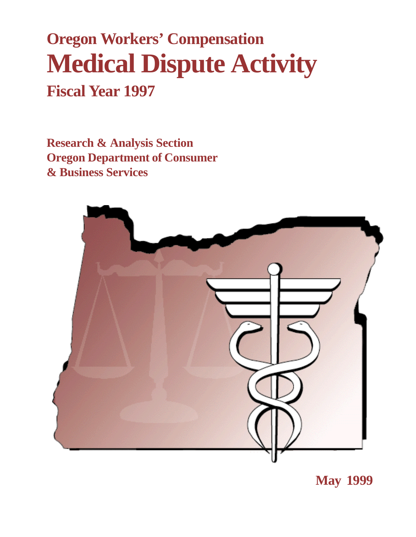# **Oregon Workers' Compensation Medical Dispute Activity Fiscal Year 1997**

**Research & Analysis Section Oregon Department of Consumer & Business Services**



**May 1999**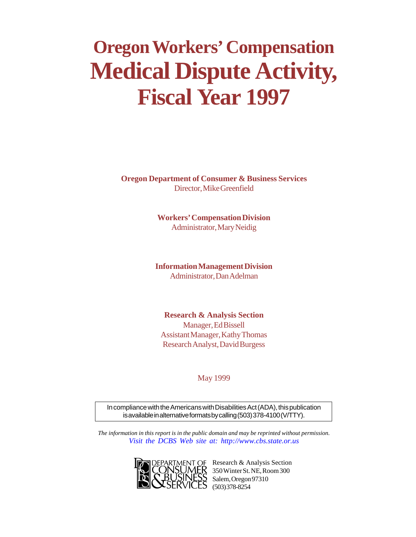# **Oregon Workers' Compensation Medical Dispute Activity, Fiscal Year 1997**

**Oregon Department of Consumer & Business Services** Director, Mike Greenfield

> **Workers' Compensation Division** Administrator, Mary Neidig

**Information Management Division** Administrator, Dan Adelman

**Research & Analysis Section** Manager, Ed Bissell Assistant Manager, Kathy Thomas Research Analyst, David Burgess

May 1999

In compliance with the Americans with Disabilities Act (ADA), this publication is available in alternative formats by calling (503) 378-4100 (V/TTY).

*The information in this report is in the public domain and may be reprinted without permission. [Visit the DCBS Web site at: http://www.cbs.state.or.us](http://www.cbs.state.or.us)*



OF Research & Analysis Section 350 Winter St. NE, Room 300 Salem, Oregon 97310 (503) 378-8254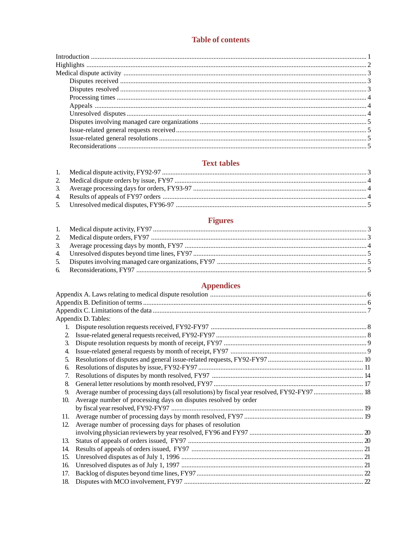# **Table of contents**

# **Text tables**

# **Figures**

# **Appendices**

|     | Appendix D. Tables:                                             |  |
|-----|-----------------------------------------------------------------|--|
|     |                                                                 |  |
| 2.  |                                                                 |  |
| 3.  |                                                                 |  |
| 4.  |                                                                 |  |
| 5.  |                                                                 |  |
| 6.  |                                                                 |  |
| 7.  |                                                                 |  |
| 8.  |                                                                 |  |
| 9.  |                                                                 |  |
| 10. | Average number of processing days on disputes resolved by order |  |
|     |                                                                 |  |
| 11. |                                                                 |  |
| 12. | Average number of processing days for phases of resolution      |  |
|     |                                                                 |  |
| 13. |                                                                 |  |
| 14. |                                                                 |  |
| 15. |                                                                 |  |
| 16. |                                                                 |  |
| 17. |                                                                 |  |
| 18. |                                                                 |  |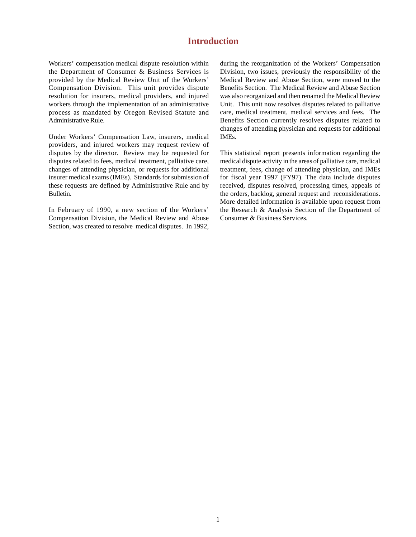# **Introduction**

Workers' compensation medical dispute resolution within the Department of Consumer & Business Services is provided by the Medical Review Unit of the Workers' Compensation Division. This unit provides dispute resolution for insurers, medical providers, and injured workers through the implementation of an administrative process as mandated by Oregon Revised Statute and Administrative Rule.

Under Workers' Compensation Law, insurers, medical providers, and injured workers may request review of disputes by the director. Review may be requested for disputes related to fees, medical treatment, palliative care, changes of attending physician, or requests for additional insurer medical exams (IMEs). Standards for submission of these requests are defined by Administrative Rule and by Bulletin.

In February of 1990, a new section of the Workers' Compensation Division, the Medical Review and Abuse Section, was created to resolve medical disputes. In 1992, during the reorganization of the Workers' Compensation Division, two issues, previously the responsibility of the Medical Review and Abuse Section, were moved to the Benefits Section. The Medical Review and Abuse Section was also reorganized and then renamed the Medical Review Unit. This unit now resolves disputes related to palliative care, medical treatment, medical services and fees. The Benefits Section currently resolves disputes related to changes of attending physician and requests for additional IMEs.

This statistical report presents information regarding the medical dispute activity in the areas of palliative care, medical treatment, fees, change of attending physician, and IMEs for fiscal year 1997 (FY97). The data include disputes received, disputes resolved, processing times, appeals of the orders, backlog, general request and reconsiderations. More detailed information is available upon request from the Research & Analysis Section of the Department of Consumer & Business Services.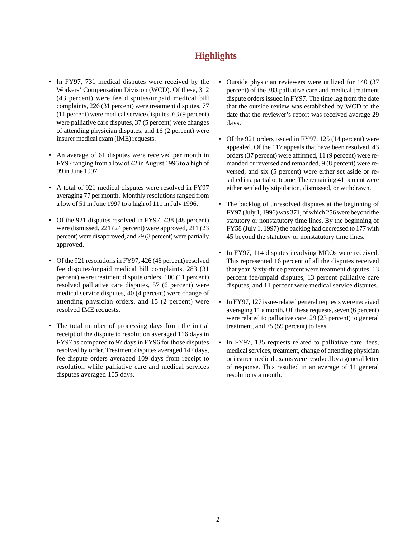# **Highlights**

- In FY97, 731 medical disputes were received by the Workers' Compensation Division (WCD). Of these, 312 (43 percent) were fee disputes/unpaid medical bill complaints, 226 (31 percent) were treatment disputes, 77 (11 percent) were medical service disputes, 63 (9 percent) were palliative care disputes, 37 (5 percent) were changes of attending physician disputes, and 16 (2 percent) were insurer medical exam (IME) requests.
- An average of 61 disputes were received per month in FY97 ranging from a low of 42 in August 1996 to a high of 99 in June 1997.
- A total of 921 medical disputes were resolved in FY97 averaging 77 per month. Monthly resolutions ranged from a low of 51 in June 1997 to a high of 111 in July 1996.
- Of the 921 disputes resolved in FY97, 438 (48 percent) were dismissed, 221 (24 percent) were approved, 211 (23 percent) were disapproved, and 29 (3 percent) were partially approved.
- Of the 921 resolutions in FY97, 426 (46 percent) resolved fee disputes/unpaid medical bill complaints, 283 (31 percent) were treatment dispute orders, 100 (11 percent) resolved palliative care disputes, 57 (6 percent) were medical service disputes, 40 (4 percent) were change of attending physician orders, and 15 (2 percent) were resolved IME requests.
- The total number of processing days from the initial receipt of the dispute to resolution averaged 116 days in FY97 as compared to 97 days in FY96 for those disputes resolved by order. Treatment disputes averaged 147 days, fee dispute orders averaged 109 days from receipt to resolution while palliative care and medical services disputes averaged 105 days.
- Outside physician reviewers were utilized for 140 (37 percent) of the 383 palliative care and medical treatment dispute orders issued in FY97. The time lag from the date that the outside review was established by WCD to the date that the reviewer's report was received average 29 days.
- Of the 921 orders issued in FY97, 125 (14 percent) were appealed. Of the 117 appeals that have been resolved, 43 orders (37 percent) were affirmed, 11 (9 percent) were remanded or reversed and remanded, 9 (8 percent) were reversed, and six (5 percent) were either set aside or resulted in a partial outcome. The remaining 41 percent were either settled by stipulation, dismissed, or withdrawn.
- The backlog of unresolved disputes at the beginning of FY97 (July 1, 1996) was 371, of which 256 were beyond the statutory or nonstatutory time lines. By the beginning of FY58 (July 1, 1997) the backlog had decreased to 177 with 45 beyond the statutory or nonstatutory time lines.
- In FY97, 114 disputes involving MCOs were received. This represented 16 percent of all the disputes received that year. Sixty-three percent were treatment disputes, 13 percent fee/unpaid disputes, 13 percent palliative care disputes, and 11 percent were medical service disputes.
- In FY97, 127 issue-related general requests were received averaging 11 a month. Of these requests, seven (6 percent) were related to palliative care, 29 (23 percent) to general treatment, and 75 (59 percent) to fees.
- In FY97, 135 requests related to palliative care, fees, medical services, treatment, change of attending physician or insurer medical exams were resolved by a general letter of response. This resulted in an average of 11 general resolutions a month.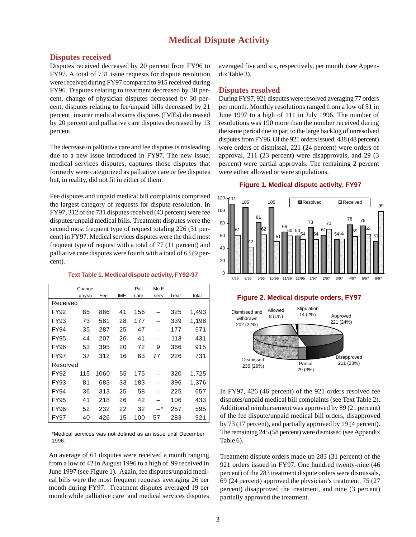# **Medical Dispute Activity**

#### **Disputes received**

Disputes received decreased by 20 percent from FY96 to FY97. A total of 731 issue requests for dispute resolution were received during FY97 compared to 915 received during FY96. Disputes relating to treatment decreased by 38 percent, change of physician disputes decreased by 30 percent, disputes relating to fee/unpaid bills decreased by 21 percent, insurer medical exams disputes (IMEs) decreased by 20 percent and palliative care disputes decreased by 13 percent.

The decrease in palliative care and fee disputes is misleading due to a new issue introduced in FY97. The new issue, medical services disputes, captures those disputes that formerly were categorized as palliative care or fee disputes but, in reality, did not fit in either of them.

Fee disputes and unpaid medical bill complaints comprised the largest category of requests for dispute resolution. In FY97, 312 of the 731 disputes received (43 percent) were fee disputes/unpaid medical bills. Treatment disputes were the second most frequent type of request totaling 226 (31 percent) in FY97. Medical services disputes were the third most frequent type of request with a total of 77 (11 percent) and palliative care disputes were fourth with a total of 63 (9 percent).

#### **Text Table 1. Medical dispute activity, FY92-97**

|             | Change |      |            | Pall | Med*    |       |       |
|-------------|--------|------|------------|------|---------|-------|-------|
|             | physn  | Fee  | <b>IME</b> | care | serv    | Treat | Total |
| Received    |        |      |            |      |         |       |       |
| FY92        | 85     | 886  | 41         | 156  |         | 325   | 1,493 |
| FY93        | 73     | 581  | 28         | 177  |         | 339   | 1,198 |
| FY94        | 35     | 287  | 25         | 47   |         | 177   | 571   |
| <b>FY95</b> | 44     | 207  | 26         | 41   |         | 113   | 431   |
| <b>FY96</b> | 53     | 395  | 20         | 72   | 9       | 366   | 915   |
| <b>FY97</b> | 37     | 312  | 16         | 63   | 77      | 226   | 731   |
| Resolved    |        |      |            |      |         |       |       |
| FY92        | 115    | 1060 | 55         | 175  |         | 320   | 1,725 |
| FY93        | 81     | 683  | 33         | 183  |         | 396   | 1,376 |
| FY94        | 36     | 313  | 25         | 58   |         | 225   | 657   |
| <b>FY95</b> | 41     | 218  | 26         | 42   |         | 106   | 433   |
| <b>FY96</b> | 52     | 232  | 22         | 32   | $\star$ | 257   | 595   |
| <b>FY97</b> | 40     | 426  | 15         | 100  | 57      | 283   | 921   |

\*Medical services was not defined as an issue until December 1996.

An average of 61 disputes were received a month ranging from a low of 42 in August 1996 to a high of 99 received in June 1997 (see Figure 1). Again, fee disputes/unpaid medical bills were the most frequent requests averaging 26 per month during FY97. Treatment disputes averaged 19 per month while palliative care and medical services disputes

averaged five and six, respectively, per month (see Appendix Table 3).

#### **Disputes resolved**

During FY97, 921 disputes were resolved averaging 77 orders per month. Monthly resolutions ranged from a low of 51 in June 1997 to a high of 111 in July 1996. The number of resolutions was 190 more than the number received during the same period due in part to the large backlog of unresolved disputes from FY96. Of the 921 orders issued, 438 (48 percent) were orders of dismissal, 221 (24 percent) were orders of approval, 211 (23 percent) were disapprovals, and 29 (3 percent) were partial approvals. The remaining 2 percent were either allowed or were stipulations.

#### **Figure 1. Medical dispute activity, FY97**



#### **Figure 2. Medical dispute orders, FY97**



In FY97, 426 (46 percent) of the 921 orders resolved fee disputes/unpaid medical bill complaints (see Text Table 2). Additional reimbursement was approved by 89 (21 percent) of the fee dispute/unpaid medical bill orders, disapproved by 73 (17 percent), and partially approved by 19 (4 percent). The remaining 245 (58 percent) were dismissed (see Appendix Table 6).

Treatment dispute orders made up 283 (31 percent) of the 921 orders issued in FY97. One hundred twenty-nine (46 percent) of the 283 treatment dispute orders were dismissals, 69 (24 percent) approved the physician's treatment, 75 (27 percent) disapproved the treatment, and nine (3 percent) partially approved the treatment.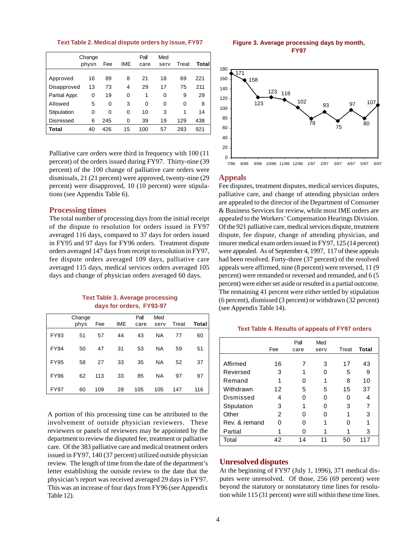**Text Table 2. Medical dispute orders by issue, FY97**

|               | Change<br>physn | Fee | IME | Pall<br>care | Med<br>serv | Treat | Total |
|---------------|-----------------|-----|-----|--------------|-------------|-------|-------|
| Approved      | 16              | 89  | 8   | 21           | 18          | 69    | 221   |
| Disapproved   | 13              | 73  | 4   | 29           | 17          | 75    | 211   |
| Partial Appr. | 0               | 19  | 0   | 1            | 0           | 9     | 29    |
| Allowed       | 5               | 0   | 3   | 0            | 0           | 0     | 8     |
| Stipulation   | 0               | 0   | 0   | 10           | 3           | 1     | 14    |
| Dismissed     | 6               | 245 | 0   | 39           | 19          | 129   | 438   |
| Total         | 40              | 426 | 15  | 100          | 57          | 283   | 921   |

Palliative care orders were third in frequency with 100 (11 percent) of the orders issued during FY97. Thirty-nine (39 percent) of the 100 change of palliative care orders were dismissals, 21 (21 percent) were approved, twenty-nine (29 percent) were disapproved, 10 (10 percent) were stipulations (see Appendix Table 6).

#### **Processing times**

The total number of processing days from the initial receipt of the dispute to resolution for orders issued in FY97 averaged 116 days, compared to 37 days for orders issued in FY95 and 97 days for FY96 orders. Treatment dispute orders averaged 147 days from receipt to resolution in FY97, fee dispute orders averaged 109 days, palliative care averaged 115 days, medical services orders averaged 105 days and change of physician orders averaged 60 days.

#### **Text Table 3. Average processing days for orders, FY93-97**

|             | Change<br>phys | Fee | <b>IME</b> | Pall<br>care | Med<br>serv | Treat | Total |
|-------------|----------------|-----|------------|--------------|-------------|-------|-------|
| <b>FY93</b> | 51             | 57  | 44         | 43           | <b>NA</b>   | 77    | 60    |
| <b>FY94</b> | 50             | 47  | 31         | 53           | <b>NA</b>   | 59    | 51    |
| <b>FY95</b> | 58             | 27  | 33         | 35           | <b>NA</b>   | 52    | 37    |
| <b>FY96</b> | 62             | 113 | 33         | 85           | <b>NA</b>   | 97    | 97    |
| <b>FY97</b> | 60             | 109 | 28         | 105          | 105         | 147   | 116   |

A portion of this processing time can be attributed to the involvement of outside physician reviewers. These reviewers or panels of reviewers may be appointed by the department to review the disputed fee, treatment or palliative care. Of the 383 palliative care and medical treatment orders issued in FY97, 140 (37 percent) utilized outside physician review. The length of time from the date of the department's letter establishing the outside review to the date that the physician's report was received averaged 29 days in FY97. This was an increase of four days from FY96 (see Appendix Table 12).

#### **Figure 3. Average processing days by month, FY97**



#### **Appeals**

Fee disputes, treatment disputes, medical services disputes, palliative care, and change of attending physician orders are appealed to the director of the Department of Consumer & Business Services for review, while most IME orders are appealed to the Workers' Compensation Hearings Division. Of the 921 palliative care, medical services dispute, treatment dispute, fee dispute, change of attending physician, and insurer medical exam orders issued in FY97, 125 (14 percent) were appealed. As of September 4, 1997, 117 of these appeals had been resolved. Forty-three (37 percent) of the resolved appeals were affirmed, nine (8 percent) were reversed, 11 (9 percent) were remanded or reversed and remanded, and 6 (5 percent) were either set aside or resulted in a partial outcome. The remaining 41 percent were either settled by stipulation (6 percent), dismissed (3 percent) or withdrawn (32 percent) (see Appendix Table 14).

#### **Text Table 4. Results of appeals of FY97 orders**

|               |     | Pall | Med  |       |              |
|---------------|-----|------|------|-------|--------------|
|               | Fee | care | serv | Treat | <b>Total</b> |
| Affirmed      | 16  |      | 3    | 17    | 43           |
| Reversed      | 3   |      |      | 5     | 9            |
| Remand        |     |      |      | 8     | 10           |
| Withdrawn     | 12  | 5    | 5    | 15    | 37           |
| Dismissed     | 4   |      | ი    | n     | 4            |
| Stipulation   | 3   |      |      | 3     |              |
| Other         | 2   |      |      | 1     | 3            |
| Rev. & remand | ∩   |      |      |       | 1            |
| Partial       |     |      |      |       | 3            |
| Total         | 42  | 14   | 11   | 50    | 117          |

### **Unresolved disputes**

At the beginning of FY97 (July 1, 1996), 371 medical disputes were unresolved. Of those, 256 (69 percent) were beyond the statutory or nonstatutory time lines for resolution while 115 (31 percent) were still within these time lines.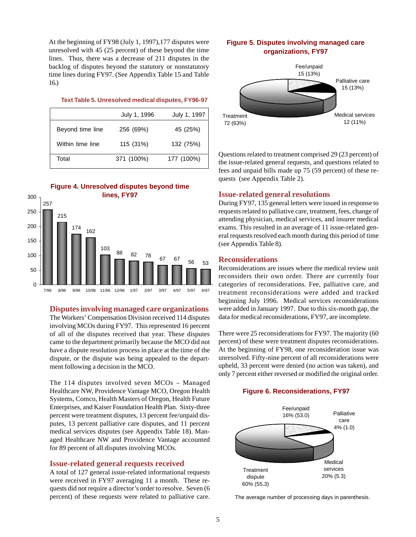At the beginning of FY98 (July 1, 1997),177 disputes were unresolved with 45 (25 percent) of these beyond the time lines. Thus, there was a decrease of 211 disputes in the backlog of disputes beyond the statutory or nonstatutory time lines during FY97. (See Appendix Table 15 and Table 16.)

#### **Text Table 5. Unresolved medical disputes, FY96-97**

|                  | July 1, 1996 | July 1, 1997 |
|------------------|--------------|--------------|
| Beyond time line | 256 (69%)    | 45 (25%)     |
| Within time line | 115 (31%)    | 132 (75%)    |
| Total            | 371 (100%)   | 177 (100%)   |

### **Figure 4. Unresolved disputes beyond time**



**Disputes involving managed care organizations**

The Workers' Compensation Division received 114 disputes involving MCOs during FY97. This represented 16 percent of all of the disputes received that year. These disputes came to the department primarily because the MCO did not have a dispute resolution process in place at the time of the dispute, or the dispute was being appealed to the department following a decision in the MCO.

The 114 disputes involved seven MCOs – Managed Healthcare NW, Providence Vantage MCO, Oregon Health Systems, Comco, Health Masters of Oregon, Health Future Enterprises, and Kaiser Foundation Health Plan. Sixty-three percent were treatment disputes, 13 percent fee/unpaid disputes, 13 percent palliative care disputes, and 11 percent medical services disputes (see Appendix Table 18). Managed Healthcare NW and Providence Vantage accounted for 89 percent of all disputes involving MCOs.

#### **Issue-related general requests received**

A total of 127 general issue-related informational requests were received in FY97 averaging 11 a month. These requests did not require a director's order to resolve. Seven (6 percent) of these requests were related to palliative care.

### **Figure 5. Disputes involving managed care organizations, FY97**



Questions related to treatment comprised 29 (23 percent) of the issue-related general requests, and questions related to fees and unpaid bills made up 75 (59 percent) of these requests (see Appendix Table 2).

#### **Issue-related general resolutions**

During FY97, 135 general letters were issued in response to requests related to palliative care, treatment, fees, change of attending physician, medical services, and insurer medical exams. This resulted in an average of 11 issue-related general requests resolved each month during this period of time (see Appendix Table 8).

#### **Reconsiderations**

Reconsiderations are issues where the medical review unit reconsiders their own order. There are currently four categories of reconsiderations. Fee, palliative care, and treatment reconsiderations were added and tracked beginning July 1996. Medical services reconsiderations were added in January 1997. Due to this six-month gap, the data for medical reconsiderations, FY97, are incomplete.

There were 25 reconsiderations for FY97. The majority (60 percent) of these were treatment disputes reconsiderations. At the beginning of FY98, one reconsideration issue was unresolved. Fifty-nine percent of all reconsiderations were upheld, 33 percent were denied (no action was taken), and only 7 percent either reversed or modified the original order.

#### **Figure 6. Reconsiderations, FY97**



The average number of processing days in parenthesis.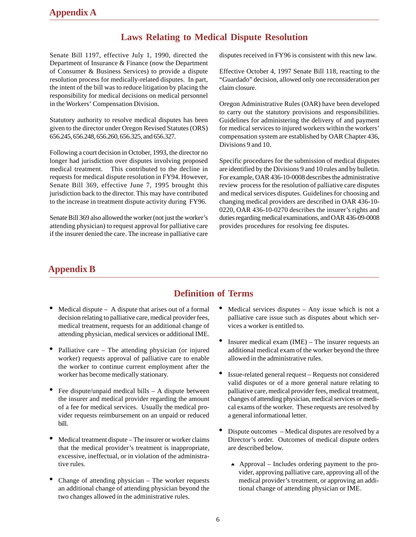# **Laws Relating to Medical Dispute Resolution**

Senate Bill 1197, effective July 1, 1990, directed the Department of Insurance & Finance (now the Department of Consumer & Business Services) to provide a dispute resolution process for medically-related disputes. In part, the intent of the bill was to reduce litigation by placing the responsibility for medical decisions on medical personnel in the Workers' Compensation Division.

Statutory authority to resolve medical disputes has been given to the director under Oregon Revised Statutes (ORS) 656.245, 656.248, 656.260, 656.325, and 656.327.

Following a court decision in October, 1993, the director no longer had jurisdiction over disputes involving proposed medical treatment. This contributed to the decline in requests for medical dispute resolution in FY94. However, Senate Bill 369, effective June 7, 1995 brought this jurisdiction back to the director. This may have contributed to the increase in treatment dispute activity during FY96.

Senate Bill 369 also allowed the worker (not just the worker's attending physician) to request approval for palliative care if the insurer denied the care. The increase in palliative care

disputes received in FY96 is consistent with this new law.

Effective October 4, 1997 Senate Bill 118, reacting to the "Guardado" decision, allowed only one reconsideration per claim closure.

Oregon Administrative Rules (OAR) have been developed to carry out the statutory provisions and responsibilities. Guidelines for administering the delivery of and payment for medical services to injured workers within the workers' compensation system are established by OAR Chapter 436, Divisions 9 and 10.

Specific procedures for the submission of medical disputes are identified by the Divisions 9 and 10 rules and by bulletin. For example, OAR 436-10-0008 describes the administrative review process for the resolution of palliative care disputes and medical services disputes. Guidelines for choosing and changing medical providers are described in OAR 436-10- 0220, OAR 436-10-0270 describes the insurer's rights and duties regarding medical examinations, and OAR 436-09-0008 provides procedures for resolving fee disputes.

# **Appendix B**

# **Definition of Terms**

- Medical dispute  $-$  A dispute that arises out of a formal decision relating to palliative care, medical provider fees, medical treatment, requests for an additional change of attending physician, medical services or additional IME.
- Palliative care The attending physician (or injured worker) requests approval of palliative care to enable the worker to continue current employment after the worker has become medically stationary.
- Fee dispute/unpaid medical bills  $A$  dispute between the insurer and medical provider regarding the amount of a fee for medical services. Usually the medical provider requests reimbursement on an unpaid or reduced bill.
- Medical treatment dispute The insurer or worker claims that the medical provider's treatment is inappropriate, excessive, ineffectual, or in violation of the administrative rules.
- Change of attending physician  $-$  The worker requests an additional change of attending physician beyond the two changes allowed in the administrative rules.
- Medical services disputes Any issue which is not a palliative care issue such as disputes about which services a worker is entitled to.
- Insurer medical exam (IME) The insurer requests an additional medical exam of the worker beyond the three allowed in the administrative rules.
- Issue-related general request Requests not considered valid disputes or of a more general nature relating to palliative care, medical provider fees, medical treatment, changes of attending physician, medical services or medical exams of the worker. These requests are resolved by a general informational letter.
- Dispute outcomes Medical disputes are resolved by a Director's order. Outcomes of medical dispute orders are described below.
	- $\blacktriangle$  Approval Includes ordering payment to the provider, approving palliative care, approving all of the medical provider's treatment, or approving an additional change of attending physician or IME.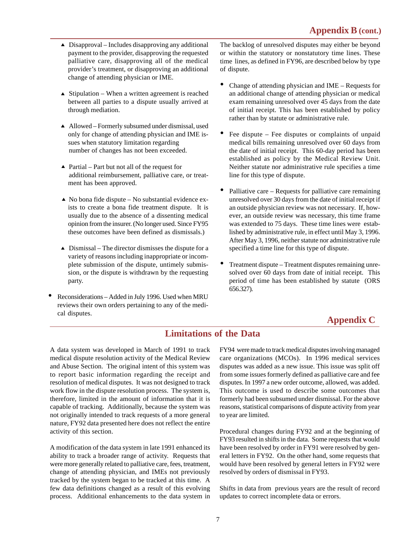- $\triangle$  Disapproval Includes disapproving any additional payment to the provider, disapproving the requested palliative care, disapproving all of the medical provider's treatment, or disapproving an additional change of attending physician or IME.
- $\triangle$  Stipulation When a written agreement is reached between all parties to a dispute usually arrived at through mediation.
- ▲ Allowed Formerly subsumed under dismissal, used only for change of attending physician and IME issues when statutory limitation regarding number of changes has not been exceeded.
- $\triangle$  Partial Part but not all of the request for additional reimbursement, palliative care, or treatment has been approved.
- $\triangle$  No bona fide dispute No substantial evidence exists to create a bona fide treatment dispute. It is usually due to the absence of a dissenting medical opinion from the insurer. (No longer used. Since FY95 these outcomes have been defined as dismissals.)
- $\triangle$  Dismissal The director dismisses the dispute for a variety of reasons including inappropriate or incomplete submission of the dispute, untimely submission, or the dispute is withdrawn by the requesting party.
- Reconsiderations Added in July 1996. Used when MRU reviews their own orders pertaining to any of the medical disputes.

The backlog of unresolved disputes may either be beyond or within the statutory or nonstatutory time lines. These time lines, as defined in FY96, are described below by type of dispute.

- Change of attending physician and IME Requests for an additional change of attending physician or medical exam remaining unresolved over 45 days from the date of initial receipt. This has been established by policy rather than by statute or administrative rule.
- Fee dispute Fee disputes or complaints of unpaid medical bills remaining unresolved over 60 days from the date of initial receipt. This 60-day period has been established as policy by the Medical Review Unit. Neither statute nor administrative rule specifies a time line for this type of dispute.
- Palliative care Requests for palliative care remaining unresolved over 30 days from the date of initial receipt if an outside physician review was not necessary. If, however, an outside review was necessary, this time frame was extended to 75 days. These time lines were established by administrative rule, in effect until May 3, 1996. After May 3, 1996, neither statute nor administrative rule specified a time line for this type of dispute.
- Treatment dispute Treatment disputes remaining unresolved over 60 days from date of initial receipt. This period of time has been established by statute (ORS 656.327).

# **Appendix C**

# **Limitations of the Data**

A data system was developed in March of 1991 to track medical dispute resolution activity of the Medical Review and Abuse Section. The original intent of this system was to report basic information regarding the receipt and resolution of medical disputes. It was not designed to track work flow in the dispute resolution process. The system is, therefore, limited in the amount of information that it is capable of tracking. Additionally, because the system was not originally intended to track requests of a more general nature, FY92 data presented here does not reflect the entire activity of this section.

A modification of the data system in late 1991 enhanced its ability to track a broader range of activity. Requests that were more generally related to palliative care, fees, treatment, change of attending physician, and IMEs not previously tracked by the system began to be tracked at this time. A few data definitions changed as a result of this evolving process. Additional enhancements to the data system in FY94 were made to track medical disputes involving managed care organizations (MCOs). In 1996 medical services disputes was added as a new issue. This issue was split off from some issues formerly defined as palliative care and fee disputes. In 1997 a new order outcome, allowed, was added. This outcome is used to describe some outcomes that formerly had been subsumed under dismissal. For the above reasons, statistical comparisons of dispute activity from year to year are limited.

Procedural changes during FY92 and at the beginning of FY93 resulted in shifts in the data. Some requests that would have been resolved by order in FY91 were resolved by general letters in FY92. On the other hand, some requests that would have been resolved by general letters in FY92 were resolved by orders of dismissal in FY93.

Shifts in data from previous years are the result of record updates to correct incomplete data or errors.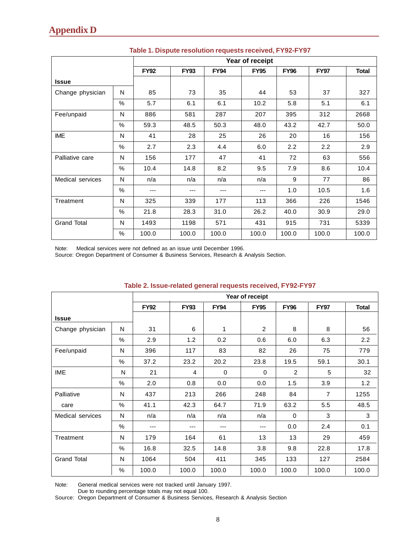|                    |      |             | Year of receipt |             |             |             |             |              |  |  |  |  |  |
|--------------------|------|-------------|-----------------|-------------|-------------|-------------|-------------|--------------|--|--|--|--|--|
|                    |      | <b>FY92</b> | <b>FY93</b>     | <b>FY94</b> | <b>FY95</b> | <b>FY96</b> | <b>FY97</b> | <b>Total</b> |  |  |  |  |  |
| <b>Issue</b>       |      |             |                 |             |             |             |             |              |  |  |  |  |  |
| Change physician   | N    | 85          | 73              | 35          | 44          | 53          | 37          | 327          |  |  |  |  |  |
|                    | $\%$ | 5.7         | 6.1             | 6.1         | 10.2        | 5.8         | 5.1         | 6.1          |  |  |  |  |  |
| Fee/unpaid         | N    | 886         | 581             | 287         | 207         | 395         | 312         | 2668         |  |  |  |  |  |
|                    | $\%$ | 59.3        | 48.5            | 50.3        | 48.0        | 43.2        | 42.7        | 50.0         |  |  |  |  |  |
| <b>IME</b>         | N    | 41          | 28              | 25          | 26          | 20          | 16          | 156          |  |  |  |  |  |
|                    | $\%$ | 2.7         | 2.3             | 4.4         | 6.0         | 2.2         | 2.2         | 2.9          |  |  |  |  |  |
| Palliative care    | N    | 156         | 177             | 47          | 41          | 72          | 63          | 556          |  |  |  |  |  |
|                    | $\%$ | 10.4        | 14.8            | 8.2         | 9.5         | 7.9         | 8.6         | 10.4         |  |  |  |  |  |
| Medical services   | N    | n/a         | n/a             | n/a         | n/a         | 9           | 77          | 86           |  |  |  |  |  |
|                    | $\%$ | ---         | ---             | ---         | ---         | 1.0         | 10.5        | 1.6          |  |  |  |  |  |
| Treatment          | N    | 325         | 339             | 177         | 113         | 366         | 226         | 1546         |  |  |  |  |  |
|                    | $\%$ | 21.8        | 28.3            | 31.0        | 26.2        | 40.0        | 30.9        | 29.0         |  |  |  |  |  |
| <b>Grand Total</b> | N    | 1493        | 1198            | 571         | 431         | 915         | 731         | 5339         |  |  |  |  |  |
|                    | $\%$ | 100.0       | 100.0           | 100.0       | 100.0       | 100.0       | 100.0       | 100.0        |  |  |  |  |  |

### **Table 1. Dispute resolution requests received, FY92-FY97**

Note: Medical services were not defined as an issue until December 1996.

Source: Oregon Department of Consumer & Business Services, Research & Analysis Section.

|                    |               |             |             |             | Year of receipt |                |                |              |
|--------------------|---------------|-------------|-------------|-------------|-----------------|----------------|----------------|--------------|
|                    |               | <b>FY92</b> | <b>FY93</b> | <b>FY94</b> | <b>FY95</b>     | <b>FY96</b>    | <b>FY97</b>    | <b>Total</b> |
| <b>Issue</b>       |               |             |             |             |                 |                |                |              |
| Change physician   | N             | 31          | 6           | 1           | 2               | 8              | 8              | 56           |
|                    | $\frac{0}{0}$ | 2.9         | 1.2         | 0.2         | 0.6             | 6.0            | 6.3            | 2.2          |
| Fee/unpaid         | N             | 396         | 117         | 83          | 82              | 26             | 75             | 779          |
|                    | $\frac{0}{0}$ | 37.2        | 23.2        | 20.2        | 23.8            | 19.5           | 59.1           | 30.1         |
| <b>IME</b>         | N             | 21          | 4           | $\mathbf 0$ | $\mathbf 0$     | $\overline{c}$ | 5              | 32           |
|                    | $\%$          | 2.0         | 0.8         | 0.0         | 0.0             | 1.5            | 3.9            | 1.2          |
| Palliative         | N             | 437         | 213         | 266         | 248             | 84             | $\overline{7}$ | 1255         |
| care               | $\frac{0}{0}$ | 41.1        | 42.3        | 64.7        | 71.9            | 63.2           | 5.5            | 48.5         |
| Medical services   | N             | n/a         | n/a         | n/a         | n/a             | $\Omega$       | 3              | 3            |
|                    | $\%$          | ---         | ---         | ---         | ---             | 0.0            | 2.4            | 0.1          |
| Treatment          | N             | 179         | 164         | 61          | 13              | 13             | 29             | 459          |
|                    | %             | 16.8        | 32.5        | 14.8        | 3.8             | 9.8            | 22.8           | 17.8         |
| <b>Grand Total</b> | N             | 1064        | 504         | 411         | 345             | 133            | 127            | 2584         |
|                    | $\frac{0}{0}$ | 100.0       | 100.0       | 100.0       | 100.0           | 100.0          | 100.0          | 100.0        |

### **Table 2. Issue-related general requests received, FY92-FY97**

Note: General medical services were not tracked until January 1997.

Due to rounding percentage totals may not equal 100.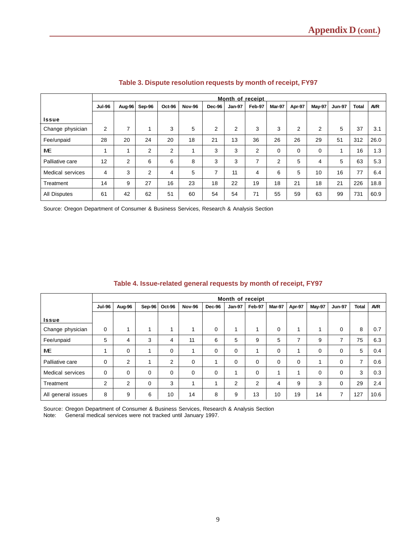|                     |               | Month of receipt |                |                |               |                |               |                |          |          |                |               |              |            |
|---------------------|---------------|------------------|----------------|----------------|---------------|----------------|---------------|----------------|----------|----------|----------------|---------------|--------------|------------|
|                     | <b>Jul-96</b> | Aug-96           | Sep-96         | Oct-96         | <b>Nov-96</b> | Dec-96         | <b>Jan-97</b> | Feb-97         | Mar-97   | Apr-97   | <b>May-97</b>  | <b>Jun-97</b> | <b>Total</b> | <b>AVR</b> |
| <b>Issue</b>        |               |                  |                |                |               |                |               |                |          |          |                |               |              |            |
| Change physician    | 2             | $\overline{ }$   |                | 3              | 5             | $\overline{2}$ | 2             | 3              | 3        | 2        | $\overline{2}$ | 5             | 37           | 3.1        |
| Fee/unpaid          | 28            | 20               | 24             | 20             | 18            | 21             | 13            | 36             | 26       | 26       | 29             | 51            | 312          | 26.0       |
| <b>IME</b>          |               | $\overline{A}$   | $\overline{2}$ | $\overline{2}$ |               | 3              | 3             | $\overline{2}$ | $\Omega$ | $\Omega$ | $\mathbf 0$    |               | 16           | 1.3        |
| Palliative care     | 12            | 2                | 6              | 6              | 8             | 3              | 3             | 7              | 2        | 5        | 4              | 5             | 63           | 5.3        |
| Medical services    | 4             | 3                | $\overline{2}$ | 4              | 5             | 7              | 11            | 4              | 6        | 5        | 10             | 16            | 77           | 6.4        |
| Treatment           | 14            | 9                | 27             | 16             | 23            | 18             | 22            | 19             | 18       | 21       | 18             | 21            | 226          | 18.8       |
| <b>All Disputes</b> | 61            | 42               | 62             | 51             | 60            | 54             | 54            | 71             | 55       | 59       | 63             | 99            | 731          | 60.9       |

### **Table 3. Dispute resolution requests by month of receipt, FY97**

Source: Oregon Department of Consumer & Business Services, Research & Analysis Section

|                    | Month of receipt        |          |          |                |                         |        |               |          |          |          |             |                |              |            |
|--------------------|-------------------------|----------|----------|----------------|-------------------------|--------|---------------|----------|----------|----------|-------------|----------------|--------------|------------|
|                    | <b>Jul-96</b>           | Aug-96   | Sep-96   | Oct-96         | <b>Nov-96</b>           | Dec-96 | <b>Jan-97</b> | Feb-97   | Mar-97   | Apr-97   | May-97      | <b>Jun-97</b>  | <b>Total</b> | <b>AVR</b> |
| Issue              |                         |          |          |                |                         |        |               |          |          |          |             |                |              |            |
| Change physician   | 0                       | 4        |          |                | $\boldsymbol{A}$        | 0      | 1             |          | $\Omega$ |          | 1           | 0              | 8            | 0.7        |
| Fee/unpaid         | 5                       | 4        | 3        | 4              | 11                      | 6      | 5             | 9        | 5        | 7        | 9           | ⇁              | 75           | 6.3        |
| <b>IME</b>         | $\overline{\mathbf{A}}$ | 0        |          | 0              | $\overline{\mathbf{A}}$ | 0      | 0             |          | 0        |          | $\mathbf 0$ | 0              | 5            | 0.4        |
| Palliative care    | 0                       | 2        |          | $\overline{2}$ | 0                       | 4      | $\mathbf 0$   | $\Omega$ | $\Omega$ | $\Omega$ | 1           | 0              | ⇁            | 0.6        |
| Medical services   | 0                       | $\Omega$ | $\Omega$ | $\mathbf 0$    | 0                       | 0      | и             | $\Omega$ | 4        |          | $\Omega$    | 0              | 3            | 0.3        |
| Treatment          | 2                       | 2        | $\Omega$ | 3              | и                       | и      | 2             | 2        | 4        | 9        | 3           | 0              | 29           | 2.4        |
| All general issues | 8                       | 9        | 6        | 10             | 14                      | 8      | 9             | 13       | 10       | 19       | 14          | $\overline{ }$ | 127          | 10.6       |

### **Table 4. Issue-related general requests by month of receipt, FY97**

Source: Oregon Department of Consumer & Business Services, Research & Analysis Section Note: General medical services were not tracked until January 1997.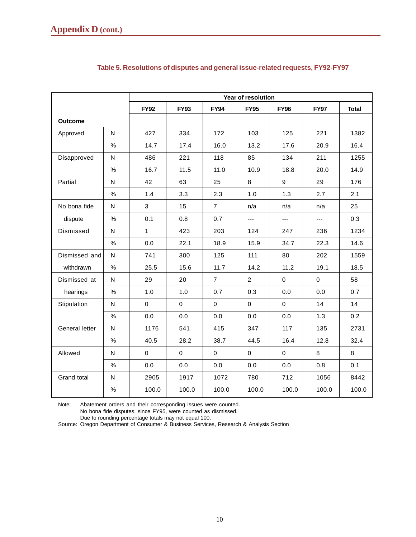|                |           |                |             |                | Year of resolution |             |             |              |
|----------------|-----------|----------------|-------------|----------------|--------------------|-------------|-------------|--------------|
|                |           | <b>FY92</b>    | <b>FY93</b> | <b>FY94</b>    | <b>FY95</b>        | <b>FY96</b> | <b>FY97</b> | <b>Total</b> |
| <b>Outcome</b> |           |                |             |                |                    |             |             |              |
| Approved       | N         | 427            | 334         | 172            | 103                | 125         | 221         | 1382         |
|                | $\%$      | 14.7           | 17.4        | 16.0           | 13.2               | 17.6        | 20.9        | 16.4         |
| Disapproved    | N         | 486            | 221         | 118            | 85                 | 134         | 211         | 1255         |
|                | $\%$      | 16.7           | 11.5        | 11.0           | 10.9               | 18.8        | 20.0        | 14.9         |
| Partial        | N         | 42             | 63          | 25             | 8                  | 9           | 29          | 176          |
|                | $\%$      | 1.4            | 3.3         | 2.3            | 1.0                | 1.3         | 2.7         | 2.1          |
| No bona fide   | ${\sf N}$ | $\mathfrak{S}$ | 15          | $\overline{7}$ | n/a                | n/a         | n/a         | 25           |
| dispute        | $\%$      | 0.1            | 0.8         | 0.7            | $---$              | ---         | $---$       | 0.3          |
| Dismissed      | N         | $\mathbf{1}$   | 423         | 203            | 124                | 247         | 236         | 1234         |
|                | $\%$      | 0.0            | 22.1        | 18.9           | 15.9               | 34.7        | 22.3        | 14.6         |
| Dismissed and  | N         | 741            | 300         | 125            | 111                | 80          | 202         | 1559         |
| withdrawn      | $\%$      | 25.5           | 15.6        | 11.7           | 14.2               | 11.2        | 19.1        | 18.5         |
| Dismissed at   | N         | 29             | 20          | $\overline{7}$ | $\overline{2}$     | 0           | $\mathbf 0$ | 58           |
| hearings       | $\%$      | 1.0            | 1.0         | 0.7            | 0.3                | 0.0         | 0.0         | 0.7          |
| Stipulation    | ${\sf N}$ | $\pmb{0}$      | $\mathbf 0$ | $\pmb{0}$      | $\mathbf 0$        | 0           | 14          | 14           |
|                | $\%$      | 0.0            | 0.0         | 0.0            | 0.0                | 0.0         | 1.3         | 0.2          |
| General letter | ${\sf N}$ | 1176           | 541         | 415            | 347                | 117         | 135         | 2731         |
|                | $\%$      | 40.5           | 28.2        | 38.7           | 44.5               | 16.4        | 12.8        | 32.4         |
| Allowed        | ${\sf N}$ | $\mathbf 0$    | $\mathbf 0$ | $\pmb{0}$      | $\pmb{0}$          | $\mathbf 0$ | 8           | 8            |
|                | %         | 0.0            | 0.0         | 0.0            | 0.0                | 0.0         | 0.8         | 0.1          |
| Grand total    | N         | 2905           | 1917        | 1072           | 780                | 712         | 1056        | 8442         |
|                | $\%$      | 100.0          | 100.0       | 100.0          | 100.0              | 100.0       | 100.0       | 100.0        |

## **Table 5. Resolutions of disputes and general issue-related requests, FY92-FY97**

Note: Abatement orders and their corresponding issues were counted. No bona fide disputes, since FY95, were counted as dismissed.

Due to rounding percentage totals may not equal 100.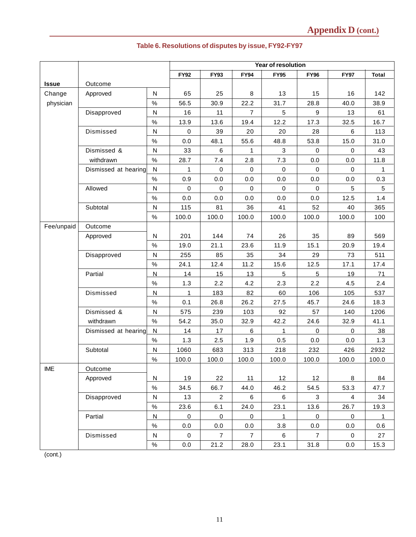|              |                      | Year of resolution |              |                |                |              |                |                |              |  |  |  |  |
|--------------|----------------------|--------------------|--------------|----------------|----------------|--------------|----------------|----------------|--------------|--|--|--|--|
|              |                      |                    | <b>FY92</b>  | <b>FY93</b>    | <b>FY94</b>    | <b>FY95</b>  | <b>FY96</b>    | <b>FY97</b>    | <b>Total</b> |  |  |  |  |
| <b>Issue</b> | Outcome              |                    |              |                |                |              |                |                |              |  |  |  |  |
| Change       | Approved             | N                  | 65           | 25             | 8              | 13           | 15             | 16             | 142          |  |  |  |  |
| physician    |                      | $\%$               | 56.5         | 30.9           | 22.2           | 31.7         | 28.8           | 40.0           | 38.9         |  |  |  |  |
|              | Disapproved          | ${\sf N}$          | 16           | 11             | $\overline{7}$ | 5            | 9              | 13             | 61           |  |  |  |  |
|              |                      | $\%$               | 13.9         | 13.6           | 19.4           | 12.2         | 17.3           | 32.5           | 16.7         |  |  |  |  |
|              | Dismissed            | ${\sf N}$          | $\mathbf 0$  | 39             | 20             | 20           | 28             | 6              | 113          |  |  |  |  |
|              |                      | $\%$               | 0.0          | 48.1           | 55.6           | 48.8         | 53.8           | 15.0           | 31.0         |  |  |  |  |
|              | Dismissed &          | N                  | 33           | 6              | $\mathbf{1}$   | $\mathbf{3}$ | $\mathbf 0$    | 0              | 43           |  |  |  |  |
|              | withdrawn            | $\%$               | 28.7         | 7.4            | 2.8            | 7.3          | 0.0            | 0.0            | 11.8         |  |  |  |  |
|              | Dismissed at hearing | ${\sf N}$          | $\mathbf{1}$ | $\mathsf 0$    | $\mathbf 0$    | $\mathbf 0$  | $\mathbf 0$    | $\mathbf 0$    | 1            |  |  |  |  |
|              |                      | $\%$               | 0.9          | 0.0            | 0.0            | 0.0          | 0.0            | 0.0            | 0.3          |  |  |  |  |
|              | Allowed              | ${\sf N}$          | $\mathbf 0$  | $\pmb{0}$      | $\mathbf 0$    | $\mathbf 0$  | $\mathbf 0$    | 5              | 5            |  |  |  |  |
|              |                      | $\%$               | 0.0          | 0.0            | 0.0            | 0.0          | 0.0            | 12.5           | 1.4          |  |  |  |  |
|              | Subtotal             | N                  | 115          | 81             | 36             | 41           | 52             | 40             | 365          |  |  |  |  |
|              |                      | $\%$               | 100.0        | 100.0          | 100.0          | 100.0        | 100.0          | 100.0          | 100          |  |  |  |  |
| Fee/unpaid   | Outcome              |                    |              |                |                |              |                |                |              |  |  |  |  |
|              | Approved             | N                  | 201          | 144            | 74             | 26           | 35             | 89             | 569          |  |  |  |  |
|              |                      | $\%$               | 19.0         | 21.1           | 23.6           | 11.9         | 15.1           | 20.9           | 19.4         |  |  |  |  |
|              | Disapproved          | N                  | 255          | 85             | 35             | 34           | 29             | 73             | 511          |  |  |  |  |
|              |                      | $\%$               | 24.1         | 12.4           | 11.2           | 15.6         | 12.5           | 17.1           | 17.4         |  |  |  |  |
|              | Partial              | ${\sf N}$          | 14           | 15             | 13             | $\sqrt{5}$   | 5              | 19             | 71           |  |  |  |  |
|              |                      | $\%$               | 1.3          | 2.2            | 4.2            | 2.3          | 2.2            | 4.5            | 2.4          |  |  |  |  |
|              | Dismissed            | N                  | 1            | 183            | 82             | 60           | 106            | 105            | 537          |  |  |  |  |
|              |                      | $\%$               | 0.1          | 26.8           | 26.2           | 27.5         | 45.7           | 24.6           | 18.3         |  |  |  |  |
|              | Dismissed &          | ${\sf N}$          | 575          | 239            | 103            | 92           | 57             | 140            | 1206         |  |  |  |  |
|              | withdrawn            | $\%$               | 54.2         | 35.0           | 32.9           | 42.2         | 24.6           | 32.9           | 41.1         |  |  |  |  |
|              | Dismissed at hearing | ${\sf N}$          | 14           | 17             | 6              | 1            | $\mathbf 0$    | 0              | 38           |  |  |  |  |
|              |                      | $\%$               | 1.3          | 2.5            | 1.9            | 0.5          | 0.0            | 0.0            | 1.3          |  |  |  |  |
|              | Subtotal             | N                  | 1060         | 683            | 313            | 218          | 232            | 426            | 2932         |  |  |  |  |
|              |                      | $\%$               | 100.0        | 100.0          | 100.0          | 100.0        | 100.0          | 100.0          | 100.0        |  |  |  |  |
| <b>IME</b>   | Outcome              |                    |              |                |                |              |                |                |              |  |  |  |  |
|              | Approved             | N                  | 19           | 22             | 11             | 12           | 12             | 8              | 84           |  |  |  |  |
|              |                      | $\%$               | 34.5         | 66.7           | 44.0           | 46.2         | 54.5           | 53.3           | 47.7         |  |  |  |  |
|              | Disapproved          | ${\sf N}$          | 13           | $\overline{2}$ | 6              | $\,6\,$      | 3              | $\overline{4}$ | 34           |  |  |  |  |
|              |                      | $\%$               | 23.6         | 6.1            | 24.0           | 23.1         | 13.6           | 26.7           | 19.3         |  |  |  |  |
|              | Partial              | ${\sf N}$          | $\mathbf 0$  | $\pmb{0}$      | 0              | $\mathbf{1}$ | $\mathbf 0$    | 0              | 1            |  |  |  |  |
|              |                      | $\%$               | 0.0          | 0.0            | 0.0            | 3.8          | 0.0            | 0.0            | 0.6          |  |  |  |  |
|              | Dismissed            | N                  | $\mathbf 0$  | $\overline{7}$ | $\overline{7}$ | 6            | $\overline{7}$ | 0              | 27           |  |  |  |  |
|              |                      | $\%$               | 0.0          | 21.2           | 28.0           | 23.1         | 31.8           | 0.0            | 15.3         |  |  |  |  |

# **Table 6. Resolutions of disputes by issue, FY92-FY97**

(cont.)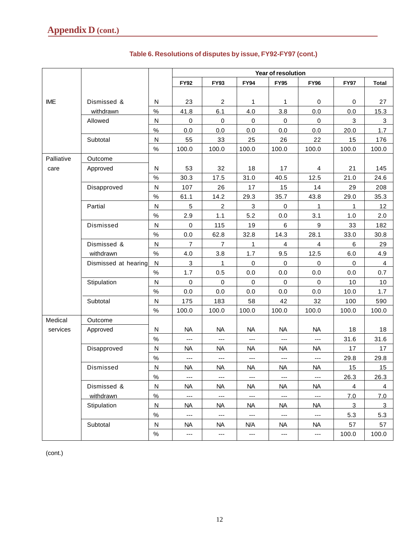|            |                      |                         | <b>Year of resolution</b> |                          |                          |                     |                          |                |                |  |  |  |  |  |
|------------|----------------------|-------------------------|---------------------------|--------------------------|--------------------------|---------------------|--------------------------|----------------|----------------|--|--|--|--|--|
|            |                      |                         | <b>FY92</b>               | <b>FY93</b>              | <b>FY94</b>              | <b>FY95</b>         | <b>FY96</b>              | <b>FY97</b>    | <b>Total</b>   |  |  |  |  |  |
|            |                      |                         |                           |                          |                          |                     |                          |                |                |  |  |  |  |  |
| <b>IME</b> | Dismissed &          | N                       | 23                        | $\overline{c}$           | 1                        | 1                   | 0                        | $\mathbf 0$    | 27             |  |  |  |  |  |
|            | withdrawn            | $\%$                    | 41.8                      | 6.1                      | 4.0                      | 3.8                 | 0.0                      | 0.0            | 15.3           |  |  |  |  |  |
|            | Allowed              | $\mathsf{N}$            | $\pmb{0}$                 | $\pmb{0}$                | $\mathbf 0$              | $\mathbf 0$         | $\pmb{0}$                | 3              | 3              |  |  |  |  |  |
|            |                      | $\%$                    | 0.0                       | 0.0                      | 0.0                      | 0.0                 | 0.0                      | 20.0           | 1.7            |  |  |  |  |  |
|            | Subtotal             | ${\sf N}$               | 55                        | 33                       | 25                       | 26                  | 22                       | 15             | 176            |  |  |  |  |  |
|            |                      | $\%$                    | 100.0                     | 100.0                    | 100.0                    | 100.0               | 100.0                    | 100.0          | 100.0          |  |  |  |  |  |
| Palliative | Outcome              |                         |                           |                          |                          |                     |                          |                |                |  |  |  |  |  |
| care       | Approved             | N                       | 53                        | 32                       | 18                       | 17                  | 4                        | 21             | 145            |  |  |  |  |  |
|            |                      | $\%$                    | 30.3                      | 17.5                     | 31.0                     | 40.5                | 12.5                     | 21.0           | 24.6           |  |  |  |  |  |
|            | Disapproved          | N                       | 107                       | 26                       | 17                       | 15                  | 14                       | 29             | 208            |  |  |  |  |  |
|            |                      | $\%$                    | 61.1                      | 14.2                     | 29.3                     | 35.7                | 43.8                     | 29.0           | 35.3           |  |  |  |  |  |
|            | Partial              | $\mathsf{N}$            | 5                         | $\overline{c}$           | $\mathbf{3}$             | $\pmb{0}$           | 1                        | 1              | 12             |  |  |  |  |  |
|            |                      | $\%$                    | 2.9                       | 1.1                      | 5.2                      | 0.0                 | 3.1                      | 1.0            | 2.0            |  |  |  |  |  |
|            | Dismissed            | $\overline{\mathsf{N}}$ | $\mathbf 0$               | 115                      | 19                       | 6                   | 9                        | 33             | 182            |  |  |  |  |  |
|            |                      | $\%$                    | 0.0                       | 62.8                     | 32.8                     | 14.3                | 28.1                     | 33.0           | 30.8           |  |  |  |  |  |
|            | Dismissed &          | N                       | $\overline{7}$            | $\overline{7}$           | 1                        | 4                   | $\overline{4}$           | 6              | 29             |  |  |  |  |  |
|            | withdrawn            | $\%$                    | 4.0                       | 3.8                      | 1.7                      | 9.5                 | 12.5                     | 6.0            | 4.9            |  |  |  |  |  |
|            | Dismissed at hearing | ${\sf N}$               | $\mathsf 3$               | 1                        | $\pmb{0}$                | $\pmb{0}$           | $\mathbf 0$              | $\pmb{0}$      | $\overline{4}$ |  |  |  |  |  |
|            |                      | $\%$                    | 1.7                       | 0.5                      | 0.0                      | 0.0                 | 0.0                      | 0.0            | 0.7            |  |  |  |  |  |
|            | Stipulation          | $\overline{\mathsf{N}}$ | $\mathbf 0$               | $\pmb{0}$                | $\mathbf 0$              | $\mathbf 0$         | $\mathbf 0$              | 10             | 10             |  |  |  |  |  |
|            |                      | $\%$                    | 0.0                       | 0.0                      | 0.0                      | 0.0                 | 0.0                      | 10.0           | 1.7            |  |  |  |  |  |
|            | Subtotal             | $\mathsf{N}$            | 175                       | 183                      | 58                       | 42                  | 32                       | 100            | 590            |  |  |  |  |  |
|            |                      | $\%$                    | 100.0                     | 100.0                    | 100.0                    | 100.0               | 100.0                    | 100.0          | 100.0          |  |  |  |  |  |
| Medical    | Outcome              |                         |                           |                          |                          |                     |                          |                |                |  |  |  |  |  |
| services   | Approved             | N                       | <b>NA</b>                 | <b>NA</b>                | <b>NA</b>                | <b>NA</b>           | <b>NA</b>                | 18             | 18             |  |  |  |  |  |
|            |                      | $\%$                    | $\overline{a}$            | $\overline{a}$           | $---$                    | ---                 | $---$                    | 31.6           | 31.6           |  |  |  |  |  |
|            | Disapproved          | $\overline{\mathsf{N}}$ | <b>NA</b>                 | <b>NA</b>                | <b>NA</b>                | <b>NA</b>           | <b>NA</b>                | 17             | 17             |  |  |  |  |  |
|            |                      | $\%$                    | ---                       | ---                      | $\overline{\phantom{a}}$ | ---                 | ---                      | 29.8           | 29.8           |  |  |  |  |  |
|            | Dismissed            | $\mathsf{N}$            | <b>NA</b>                 | <b>NA</b>                | <b>NA</b>                | <b>NA</b>           | <b>NA</b>                | 15             | 15             |  |  |  |  |  |
|            |                      | $\%$                    | $---$                     | $---$                    | $\overline{a}$           | ---                 | $---$                    | 26.3           | 26.3           |  |  |  |  |  |
|            | Dismissed &          | N                       | NA.                       | <b>NA</b>                | <b>NA</b>                | NA                  | NA                       | 4              | 4              |  |  |  |  |  |
|            | withdrawn            | $\%$                    | $\hspace{0.05cm} \ldots$  | $\scriptstyle\cdots$     | $\hspace{0.05cm} \ldots$ | ---                 | $\hspace{0.05cm} \ldots$ | 7.0            | 7.0            |  |  |  |  |  |
|            | Stipulation          | $\overline{\mathsf{N}}$ | <b>NA</b>                 | <b>NA</b>                | <b>NA</b>                | NA                  | <b>NA</b>                | $\overline{3}$ | $\overline{3}$ |  |  |  |  |  |
|            |                      | $\%$                    | $\hspace{0.05cm} \ldots$  | $\hspace{0.05cm} \ldots$ | $\hspace{0.05cm} \ldots$ | $\qquad \qquad - -$ | $\hspace{0.05cm} \ldots$ | 5.3            | 5.3            |  |  |  |  |  |
|            | Subtotal             | N                       | NA                        | <b>NA</b>                | N/A                      | NA                  | <b>NA</b>                | 57             | 57             |  |  |  |  |  |
|            |                      | $\%$                    | ---                       | ---                      | ---                      | ---                 | $\hspace{0.05cm} \ldots$ | 100.0          | 100.0          |  |  |  |  |  |

# **Table 6. Resolutions of disputes by issue, FY92-FY97 (cont.)**

(cont.)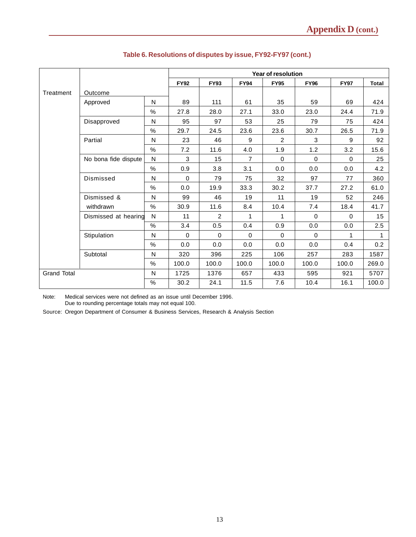|                    |                      |                         |             |                |                | Year of resolution |             |             |              |
|--------------------|----------------------|-------------------------|-------------|----------------|----------------|--------------------|-------------|-------------|--------------|
|                    |                      |                         | <b>FY92</b> | <b>FY93</b>    | <b>FY94</b>    | <b>FY95</b>        | <b>FY96</b> | <b>FY97</b> | <b>Total</b> |
| Treatment          | Outcome              |                         |             |                |                |                    |             |             |              |
|                    | Approved             | N                       | 89          | 111            | 61             | 35                 | 59          | 69          | 424          |
|                    |                      | $\%$                    | 27.8        | 28.0           | 27.1           | 33.0               | 23.0        | 24.4        | 71.9         |
|                    | Disapproved          | N                       | 95          | 97             | 53             | 25                 | 79          | 75          | 424          |
|                    |                      | $\%$                    | 29.7        | 24.5           | 23.6           | 23.6               | 30.7        | 26.5        | 71.9         |
|                    | Partial              | N                       | 23          | 46             | 9              | 2                  | 3           | 9           | 92           |
|                    |                      | %                       | 7.2         | 11.6           | 4.0            | 1.9                | 1.2         | 3.2         | 15.6         |
|                    | No bona fide dispute | N                       | 3           | 15             | $\overline{7}$ | $\mathbf 0$        | 0           | $\Omega$    | 25           |
|                    |                      | $\%$                    | 0.9         | 3.8            | 3.1            | 0.0                | 0.0         | 0.0         | 4.2          |
|                    | Dismissed            | N                       | $\Omega$    | 79             | 75             | 32                 | 97          | 77          | 360          |
|                    |                      | $\%$                    | 0.0         | 19.9           | 33.3           | 30.2               | 37.7        | 27.2        | 61.0         |
|                    | Dismissed &          | N                       | 99          | 46             | 19             | 11                 | 19          | 52          | 246          |
|                    | withdrawn            | $\%$                    | 30.9        | 11.6           | 8.4            | 10.4               | 7.4         | 18.4        | 41.7         |
|                    | Dismissed at hearing | N                       | 11          | $\overline{2}$ | 1              | 1                  | 0           | $\Omega$    | 15           |
|                    |                      | $\%$                    | 3.4         | 0.5            | 0.4            | 0.9                | 0.0         | 0.0         | 2.5          |
|                    | Stipulation          | N                       | $\Omega$    | $\Omega$       | $\Omega$       | $\Omega$           | $\Omega$    | 1           | 1            |
|                    |                      | %                       | 0.0         | 0.0            | 0.0            | 0.0                | 0.0         | 0.4         | 0.2          |
|                    | Subtotal             | $\overline{\mathsf{N}}$ | 320         | 396            | 225            | 106                | 257         | 283         | 1587         |
|                    |                      | $\%$                    | 100.0       | 100.0          | 100.0          | 100.0              | 100.0       | 100.0       | 269.0        |
| <b>Grand Total</b> |                      | N                       | 1725        | 1376           | 657            | 433                | 595         | 921         | 5707         |
|                    |                      | %                       | 30.2        | 24.1           | 11.5           | 7.6                | 10.4        | 16.1        | 100.0        |

## **Table 6. Resolutions of disputes by issue, FY92-FY97 (cont.)**

Note: Medical services were not defined as an issue until December 1996. Due to rounding percentage totals may not equal 100.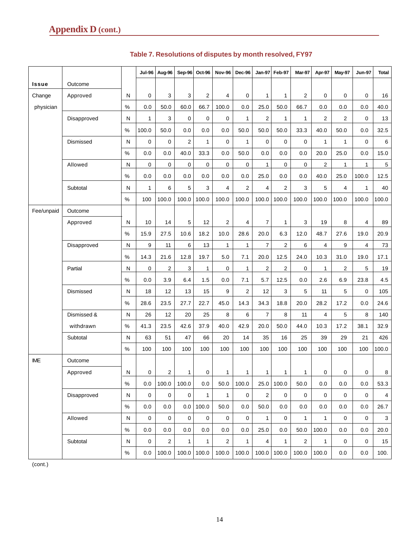|            |             |              | <b>Jul-96</b>       | Aug-96         | Sep-96         | Oct-96       | <b>Nov-96</b>       | Dec-96         | <b>Jan-97</b>  | Feb-97         | Mar-97         | Apr-97         | May-97         | <b>Jun-97</b> | <b>Total</b> |
|------------|-------------|--------------|---------------------|----------------|----------------|--------------|---------------------|----------------|----------------|----------------|----------------|----------------|----------------|---------------|--------------|
| Issue      | Outcome     |              |                     |                |                |              |                     |                |                |                |                |                |                |               |              |
| Change     | Approved    | N            | 0                   | 3              | 3              | 2            | 4                   | 0              | 1              | 1              | $\overline{2}$ | 0              | 0              | 0             | 16           |
| physician  |             | $\%$         | 0.0                 | 50.0           | 60.0           | 66.7         | 100.0               | 0.0            | 25.0           | 50.0           | 66.7           | 0.0            | 0.0            | 0.0           | 40.0         |
|            | Disapproved | N            | 1                   | 3              | $\mathbf 0$    | 0            | $\mathbf 0$         | $\mathbf{1}$   | $\overline{2}$ | $\mathbf{1}$   | $\mathbf{1}$   | $\overline{2}$ | $\overline{2}$ | 0             | 13           |
|            |             | $\%$         | 100.0               | 50.0           | 0.0            | 0.0          | 0.0                 | 50.0           | 50.0           | 50.0           | 33.3           | 40.0           | 50.0           | 0.0           | 32.5         |
|            | Dismissed   | N            | 0                   | 0              | $\overline{2}$ | $\mathbf{1}$ | $\mathbf 0$         | $\mathbf{1}$   | $\mathbf 0$    | 0              | $\mathbf 0$    | $\mathbf{1}$   | $\mathbf{1}$   | $\mathbf 0$   | 6            |
|            |             | $\%$         | 0.0                 | 0.0            | 40.0           | 33.3         | 0.0                 | 50.0           | 0.0            | 0.0            | 0.0            | 20.0           | 25.0           | 0.0           | 15.0         |
|            | Allowed     | ${\sf N}$    | 0                   | 0              | 0              | 0            | 0                   | 0              | 1              | 0              | 0              | $\overline{2}$ | 1              | 1             | 5            |
|            |             | $\%$         | 0.0                 | 0.0            | 0.0            | 0.0          | 0.0                 | 0.0            | 25.0           | 0.0            | 0.0            | 40.0           | 25.0           | 100.0         | 12.5         |
|            | Subtotal    | N            | 1                   | 6              | 5              | 3            | 4                   | $\overline{c}$ | $\overline{4}$ | $\overline{2}$ | 3              | 5              | $\overline{4}$ | 1             | 40           |
|            |             | $\%$         | 100                 | 100.0          | 100.0          | 100.0        | 100.0               | 100.0          | 100.0          | 100.0          | 100.0          | 100.0          | 100.0          | 100.0         | 100.0        |
| Fee/unpaid | Outcome     |              |                     |                |                |              |                     |                |                |                |                |                |                |               |              |
|            | Approved    | N            | 10                  | 14             | 5              | 12           | 2                   | 4              | $\overline{7}$ | $\mathbf{1}$   | 3              | 19             | 8              | 4             | 89           |
|            |             | $\%$         | 15.9                | 27.5           | 10.6           | 18.2         | 10.0                | 28.6           | 20.0           | 6.3            | 12.0           | 48.7           | 27.6           | 19.0          | 20.9         |
|            | Disapproved | N            | 9                   | 11             | 6              | 13           | 1                   | 1              | $\overline{7}$ | 2              | 6              | 4              | 9              | 4             | 73           |
|            |             | %            | 14.3                | 21.6           | 12.8           | 19.7         | 5.0                 | 7.1            | 20.0           | 12.5           | 24.0           | 10.3           | 31.0           | 19.0          | 17.1         |
|            | Partial     | N            | 0                   | 2              | 3              | 1            | 0                   | $\mathbf{1}$   | $\overline{c}$ | $\overline{c}$ | 0              | $\mathbf{1}$   | $\overline{2}$ | 5             | 19           |
|            |             | $\%$         | 0.0                 | 3.9            | 6.4            | 1.5          | 0.0                 | 7.1            | 5.7            | 12.5           | 0.0            | 2.6            | 6.9            | 23.8          | 4.5          |
|            | Dismissed   | N            | 18                  | 12             | 13             | 15           | 9                   | 2              | 12             | 3              | 5              | 11             | 5              | $\mathbf 0$   | 105          |
|            |             | $\%$         | 28.6                | 23.5           | 27.7           | 22.7         | 45.0                | 14.3           | 34.3           | 18.8           | 20.0           | 28.2           | 17.2           | 0.0           | 24.6         |
|            | Dismissed & | N            | 26                  | 12             | 20             | 25           | 8                   | 6              | $\overline{7}$ | 8              | 11             | $\overline{4}$ | 5              | 8             | 140          |
|            | withdrawn   | $\%$         | 41.3                | 23.5           | 42.6           | 37.9         | 40.0                | 42.9           | 20.0           | 50.0           | 44.0           | 10.3           | 17.2           | 38.1          | 32.9         |
|            | Subtotal    | N            | 63                  | 51             | 47             | 66           | 20                  | 14             | 35             | 16             | 25             | 39             | 29             | 21            | 426          |
|            |             | $\%$         | 100                 | 100            | 100            | 100          | 100                 | 100            | 100            | 100            | 100            | 100            | 100            | 100           | 100.0        |
| <b>IME</b> | Outcome     |              |                     |                |                |              |                     |                |                |                |                |                |                |               |              |
|            | Approved    | N            | 0                   | $\overline{a}$ | $\mathbf{1}$   | 0            | $\mathbf{1}$        | 1              | $\mathbf{1}$   | $\mathbf{1}$   | $\mathbf{1}$   | 0              | 0              | 0             | 8            |
|            |             | $\%$         | 0.0                 | 100.0          | 100.0          | 0.0          | 50.0                | 100.0          | 25.0           | 100.0          | 50.0           | 0.0            | 0.0            | 0.0           | 53.3         |
|            | Disapproved | $\mathsf{N}$ | $\mathsf{O}\xspace$ | 0              | $\mathbf 0$    | $\mathbf{1}$ | $\mathbf{1}$        | 0              | $\overline{2}$ | $\mathbf{0}$   | $\mathbf 0$    | $\mathbf 0$    | $\mathbf 0$    | $\Omega$      | 4            |
|            |             | $\%$         | 0.0                 | $0.0\,$        | 0.0            | 100.0        | 50.0                | $0.0\,$        | 50.0           | 0.0            | 0.0            | 0.0            | 0.0            | 0.0           | 26.7         |
|            | Allowed     | $\mathsf{N}$ | 0                   | $\mathbf 0$    | $\mathbf 0$    | $\mathsf 0$  | $\mathsf{O}\xspace$ | $\mathbf 0$    | $\mathbf{1}$   | $\mathbf{0}$   | $\mathbf{1}$   | $\mathbf{1}$   | $\mathbf 0$    | $\mathbf{0}$  | 3            |
|            |             | $\%$         | 0.0                 | 0.0            | $0.0\,$        | $0.0\,$      | 0.0                 | 0.0            | 25.0           | 0.0            | 50.0           | 100.0          | 0.0            | 0.0           | 20.0         |
|            | Subtotal    | N            | 0                   | $\overline{a}$ | $\mathbf{1}$   | $\mathbf{1}$ | $\overline{2}$      | $\mathbf{1}$   | 4              | $\mathbf{1}$   | $\overline{2}$ | $\mathbf{1}$   | 0              | 0             | 15           |
|            |             | $\%$         | 0.0                 | 100.0          | 100.0          | 100.0        | 100.0               | 100.0          | 100.0          | 100.0          | 100.0          | 100.0          | 0.0            | 0.0           | 100.         |

# **Table 7. Resolutions of disputes by month resolved, FY97**

(cont.)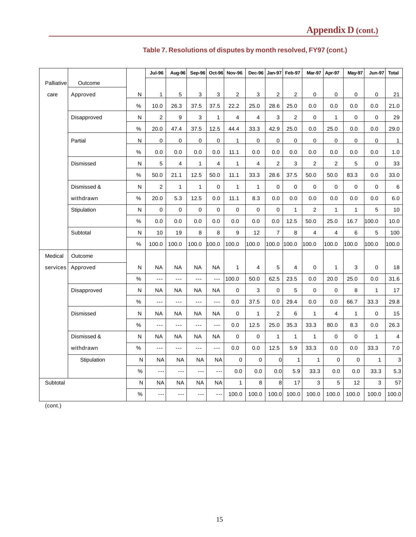|            |                  |              | <b>Jul-96</b>  | Aug-96               | $Sep-96$       |                | Oct-96 Nov-96  | Dec-96         | <b>Jan-97</b>  | Feb-97         | <b>Mar-97</b>  | Apr-97         | May-97       | <b>Jun-97</b> | <b>Total</b>            |
|------------|------------------|--------------|----------------|----------------------|----------------|----------------|----------------|----------------|----------------|----------------|----------------|----------------|--------------|---------------|-------------------------|
| Palliative | Outcome          |              |                |                      |                |                |                |                |                |                |                |                |              |               |                         |
| care       | Approved         | N            | $\mathbf{1}$   | 5                    | 3              | 3              | 2              | 3              | $\overline{2}$ | $\overline{2}$ | $\mathbf 0$    | $\mathbf 0$    | $\mathbf 0$  | $\mathbf 0$   | 21                      |
|            |                  | $\%$         | 10.0           | 26.3                 | 37.5           | 37.5           | 22.2           | 25.0           | 28.6           | 25.0           | 0.0            | 0.0            | 0.0          | 0.0           | 21.0                    |
|            | Disapproved      | N            | $\overline{2}$ | 9                    | 3              | $\mathbf{1}$   | $\overline{4}$ | $\overline{4}$ | 3              | $\overline{2}$ | $\mathbf 0$    | $\mathbf{1}$   | $\Omega$     | $\Omega$      | 29                      |
|            |                  | $\%$         | 20.0           | 47.4                 | 37.5           | 12.5           | 44.4           | 33.3           | 42.9           | 25.0           | 0.0            | 25.0           | 0.0          | 0.0           | 29.0                    |
|            | Partial          | N            | 0              | 0                    | $\mathbf 0$    | 0              | $\mathbf{1}$   | $\mathbf 0$    | $\mathbf 0$    | $\Omega$       | $\Omega$       | $\mathbf 0$    | $\Omega$     | $\Omega$      | $\overline{1}$          |
|            |                  | $\%$         | 0.0            | 0.0                  | 0.0            | 0.0            | 11.1           | 0.0            | 0.0            | 0.0            | 0.0            | 0.0            | 0.0          | 0.0           | 1.0                     |
|            | <b>Dismissed</b> | N            | 5              | 4                    | $\mathbf{1}$   | $\overline{4}$ | $\mathbf{1}$   | $\overline{4}$ | $\overline{2}$ | 3              | $\overline{2}$ | $\overline{2}$ | 5            | $\Omega$      | 33                      |
|            |                  | $\%$         | 50.0           | 21.1                 | 12.5           | 50.0           | 11.1           | 33.3           | 28.6           | 37.5           | 50.0           | 50.0           | 83.3         | 0.0           | 33.0                    |
|            | Dismissed &      | N            | $\overline{2}$ | $\mathbf{1}$         | $\mathbf{1}$   | $\pmb{0}$      | $\mathbf{1}$   | 1              | $\pmb{0}$      | 0              | $\mathbf 0$    | $\mathbf 0$    | $\mathbf 0$  | $\mathbf 0$   | 6                       |
|            | withdrawn        | $\%$         | 20.0           | 5.3                  | 12.5           | 0.0            | 11.1           | 8.3            | 0.0            | 0.0            | 0.0            | 0.0            | 0.0          | 0.0           | 6.0                     |
|            | Stipulation      | ${\sf N}$    | 0              | 0                    | $\overline{0}$ | $\mathbf 0$    | $\mathbf 0$    | $\mathbf 0$    | $\mathbf 0$    | $\mathbf{1}$   | $\overline{2}$ | $\mathbf{1}$   | $\mathbf{1}$ | 5             | 10                      |
|            |                  | $\%$         | 0.0            | 0.0                  | 0.0            | 0.0            | 0.0            | 0.0            | 0.0            | 12.5           | 50.0           | 25.0           | 16.7         | 100.0         | 10.0                    |
|            | Subtotal         | ${\sf N}$    | 10             | 19                   | 8              | 8              | 9              | 12             | $\overline{7}$ | 8              | $\overline{4}$ | $\overline{4}$ | 6            | 5             | 100                     |
|            |                  | $\%$         | 100.0          | 100.0                | 100.0          | 100.0          | 100.0          | 100.0          | 100.0          | 100.0          | 100.0          | 100.0          | 100.0        | 100.0         | 100.0                   |
| Medical    | Outcome          |              |                |                      |                |                |                |                |                |                |                |                |              |               |                         |
| services   | Approved         | N            | <b>NA</b>      | <b>NA</b>            | <b>NA</b>      | <b>NA</b>      | $\mathbf{1}$   | $\overline{4}$ | 5              | $\overline{4}$ | $\mathbf 0$    | $\mathbf{1}$   | 3            | $\mathbf 0$   | 18                      |
|            |                  | $\%$         |                | $\overline{a}$       | ---            | $- - -$        | 100.0          | 50.0           | 62.5           | 23.5           | 0.0            | 20.0           | 25.0         | 0.0           | 31.6                    |
|            | Disapproved      | N            | <b>NA</b>      | <b>NA</b>            | <b>NA</b>      | <b>NA</b>      | 0              | 3              | $\mathbf 0$    | 5              | $\mathbf 0$    | 0              | 8            | $\mathbf{1}$  | $17\,$                  |
|            |                  | $\%$         | ---            | $\sim$ $\sim$ $\sim$ | ---            | $- - -$        | 0.0            | 37.5           | 0.0            | 29.4           | 0.0            | 0.0            | 66.7         | 33.3          | 29.8                    |
|            | Dismissed        | N            | <b>NA</b>      | <b>NA</b>            | <b>NA</b>      | <b>NA</b>      | $\mathbf 0$    | $\mathbf{1}$   | $\overline{2}$ | 6              | $\mathbf{1}$   | $\overline{4}$ | $\mathbf{1}$ | $\Omega$      | 15                      |
|            |                  | $\%$         | $- - -$        | $\overline{a}$       | ---            | $- - -$        | 0.0            | 12.5           | 25.0           | 35.3           | 33.3           | 80.0           | 8.3          | 0.0           | 26.3                    |
|            | Dismissed &      | N            | <b>NA</b>      | <b>NA</b>            | <b>NA</b>      | <b>NA</b>      | 0              | $\mathbf 0$    | $\overline{1}$ | $\mathbf{1}$   | $\mathbf{1}$   | 0              | $\Omega$     | $\mathbf{1}$  | $\overline{\mathbf{4}}$ |
|            | withdrawn        | $\%$         | ---            | $\overline{a}$       | ---            | $\overline{a}$ | 0.0            | 0.0            | 12.5           | 5.9            | 33.3           | 0.0            | 0.0          | 33.3          | $7.0\,$                 |
|            | Stipulation      | $\mathsf{N}$ | <b>NA</b>      | <b>NA</b>            | <b>NA</b>      | <b>NA</b>      | $\Omega$       | $\Omega$       | $\mathbf{0}$   | $\mathbf{1}$   | $\mathbf{1}$   | $\Omega$       | $\Omega$     | $\mathbf{1}$  | 3                       |
|            |                  | $\%$         | ---            | ---                  | $- - -$        | ---            | 0.0            | 0.0            | 0.0            | 5.9            | 33.3           | 0.0            | 0.0          | 33.3          | 5.3                     |
| Subtotal   |                  | N            | <b>NA</b>      | ΝA                   | <b>NA</b>      | <b>NA</b>      | $\mathbf{1}$   | 8              | 8              | 17             | 3              | 5              | 12           | 3             | 57                      |
|            |                  | %            | $- - -$        | $- - -$              | $\overline{a}$ | ---            | 100.0          | 100.0          | 100.0          | 100.0          | 100.0          | 100.0          | 100.0        | 100.0         | 100.0                   |

# **Table 7. Resolutions of disputes by month resolved, FY97 (cont.)**

(cont.)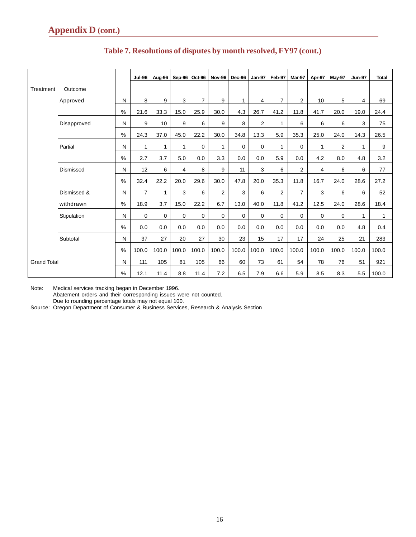|                    |             |               | <b>Jul-96</b>  | Aug-96      |              | Sep-96 Oct-96  | <b>Nov-96</b>  | Dec-96      | <b>Jan-97</b>  | Feb-97         | Mar-97         | Apr-97       | <b>May-97</b>  | <b>Jun-97</b>  | <b>Total</b> |
|--------------------|-------------|---------------|----------------|-------------|--------------|----------------|----------------|-------------|----------------|----------------|----------------|--------------|----------------|----------------|--------------|
| Treatment          | Outcome     |               |                |             |              |                |                |             |                |                |                |              |                |                |              |
|                    | Approved    | N             | 8              | 9           | 3            | $\overline{7}$ | 9              | 1           | 4              | $\overline{7}$ | $\overline{2}$ | 10           | 5              | 4              | 69           |
|                    |             | $\%$          | 21.6           | 33.3        | 15.0         | 25.9           | 30.0           | 4.3         | 26.7           | 41.2           | 11.8           | 41.7         | 20.0           | 19.0           | 24.4         |
|                    | Disapproved | N             | 9              | 10          | 9            | 6              | 9              | 8           | $\overline{2}$ | $\mathbf{1}$   | 6              | 6            | 6              | 3              | 75           |
|                    |             | $\%$          | 24.3           | 37.0        | 45.0         | 22.2           | 30.0           | 34.8        | 13.3           | 5.9            | 35.3           | 25.0         | 24.0           | 14.3           | 26.5         |
|                    | Partial     | N             | $\mathbf{1}$   | 1           | $\mathbf{1}$ | $\mathbf 0$    | $\mathbf{1}$   | $\mathbf 0$ | 0              | $\mathbf{1}$   | 0              | $\mathbf{1}$ | $\overline{2}$ | $\overline{1}$ | 9            |
|                    |             | $\%$          | 2.7            | 3.7         | 5.0          | 0.0            | 3.3            | 0.0         | 0.0            | 5.9            | 0.0            | 4.2          | 8.0            | 4.8            | 3.2          |
|                    | Dismissed   | N             | 12             | 6           | 4            | 8              | 9              | 11          | 3              | 6              | $\overline{2}$ | 4            | 6              | 6              | 77           |
|                    |             | $\%$          | 32.4           | 22.2        | 20.0         | 29.6           | 30.0           | 47.8        | 20.0           | 35.3           | 11.8           | 16.7         | 24.0           | 28.6           | 27.2         |
|                    | Dismissed & | N             | $\overline{7}$ | 1           | 3            | 6              | $\overline{2}$ | 3           | 6              | $\overline{2}$ | $\overline{7}$ | 3            | 6              | 6              | 52           |
|                    | withdrawn   | $\frac{0}{0}$ | 18.9           | 3.7         | 15.0         | 22.2           | 6.7            | 13.0        | 40.0           | 11.8           | 41.2           | 12.5         | 24.0           | 28.6           | 18.4         |
|                    | Stipulation | N             | $\mathbf 0$    | $\mathbf 0$ | $\mathbf 0$  | $\mathbf 0$    | $\mathbf 0$    | $\Omega$    | 0              | $\mathbf 0$    | 0              | $\mathbf 0$  | $\mathbf 0$    | 1              | 1            |
|                    |             | $\%$          | 0.0            | 0.0         | 0.0          | 0.0            | 0.0            | 0.0         | 0.0            | 0.0            | 0.0            | 0.0          | 0.0            | 4.8            | 0.4          |
|                    | Subtotal    | N             | 37             | 27          | 20           | 27             | 30             | 23          | 15             | 17             | 17             | 24           | 25             | 21             | 283          |
|                    |             | $\%$          | 100.0          | 100.0       | 100.0        | 100.0          | 100.0          | 100.0       | 100.0          | 100.0          | 100.0          | 100.0        | 100.0          | 100.0          | 100.0        |
| <b>Grand Total</b> |             | N             | 111            | 105         | 81           | 105            | 66             | 60          | 73             | 61             | 54             | 78           | 76             | 51             | 921          |
|                    |             | $\%$          | 12.1           | 11.4        | 8.8          | 11.4           | 7.2            | 6.5         | 7.9            | 6.6            | 5.9            | 8.5          | 8.3            | 5.5            | 100.0        |

# **Table 7. Resolutions of disputes by month resolved, FY97 (cont.)**

Note: Medical services tracking began in December 1996. Abatement orders and their corresponding issues were not counted. Due to rounding percentage totals may not equal 100.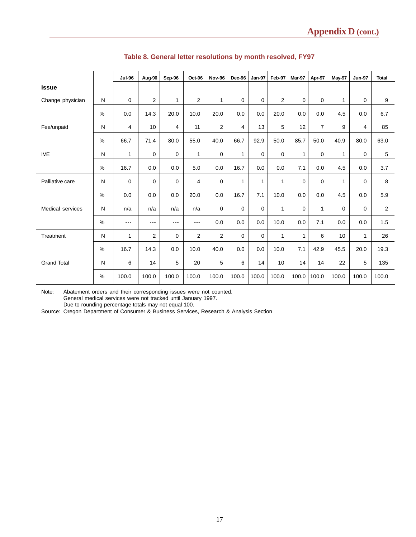|                    |               | <b>Jul-96</b>  | Aug-96 | Sep-96      | Oct-96         | <b>Nov-96</b>  | Dec-96       | <b>Jan-97</b> | Feb-97       | Mar-97       | Apr-97         | May-97 | <b>Jun-97</b> | <b>Total</b> |
|--------------------|---------------|----------------|--------|-------------|----------------|----------------|--------------|---------------|--------------|--------------|----------------|--------|---------------|--------------|
| <b>Issue</b>       |               |                |        |             |                |                |              |               |              |              |                |        |               |              |
| Change physician   | N             | $\mathbf 0$    | 2      | 1           | $\overline{2}$ | 1              | $\mathbf 0$  | 0             | 2            | 0            | 0              | 1      | $\mathbf 0$   | 9            |
|                    | $\frac{0}{0}$ | 0.0            | 14.3   | 20.0        | 10.0           | 20.0           | 0.0          | 0.0           | 20.0         | 0.0          | 0.0            | 4.5    | 0.0           | 6.7          |
| Fee/unpaid         | N             | $\overline{4}$ | 10     | 4           | 11             | $\overline{2}$ | 4            | 13            | 5            | 12           | $\overline{7}$ | 9      | 4             | 85           |
|                    | %             | 66.7           | 71.4   | 80.0        | 55.0           | 40.0           | 66.7         | 92.9          | 50.0         | 85.7         | 50.0           | 40.9   | 80.0          | 63.0         |
| <b>IME</b>         | N             | 1              | 0      | $\mathbf 0$ | 1              | 0              | $\mathbf{1}$ | 0             | $\mathbf 0$  | $\mathbf{1}$ | 0              | 1      | 0             | 5            |
|                    | $\frac{0}{0}$ | 16.7           | 0.0    | 0.0         | 5.0            | 0.0            | 16.7         | 0.0           | 0.0          | 7.1          | 0.0            | 4.5    | 0.0           | 3.7          |
| Palliative care    | N             | $\mathbf 0$    | 0      | $\mathbf 0$ | 4              | $\mathbf 0$    | 1            | $\mathbf{1}$  | 1            | 0            | 0              | 1      | 0             | 8            |
|                    | $\frac{0}{0}$ | 0.0            | 0.0    | 0.0         | 20.0           | 0.0            | 16.7         | 7.1           | 10.0         | 0.0          | 0.0            | 4.5    | 0.0           | 5.9          |
| Medical services   | N             | n/a            | n/a    | n/a         | n/a            | $\mathbf 0$    | $\mathbf 0$  | $\Omega$      | 1            | $\Omega$     | 1              | 0      | $\mathbf 0$   | 2            |
|                    | $\frac{0}{0}$ | $---$          | $---$  | $---$       | $---$          | 0.0            | 0.0          | 0.0           | 10.0         | 0.0          | 7.1            | 0.0    | 0.0           | 1.5          |
| Treatment          | N             | $\mathbf{1}$   | 2      | $\Omega$    | $\overline{2}$ | $\overline{2}$ | $\mathbf 0$  | $\mathbf 0$   | $\mathbf{1}$ | $\mathbf{1}$ | 6              | 10     | $\mathbf{1}$  | 26           |
|                    | $\frac{0}{0}$ | 16.7           | 14.3   | 0.0         | 10.0           | 40.0           | 0.0          | 0.0           | 10.0         | 7.1          | 42.9           | 45.5   | 20.0          | 19.3         |
| <b>Grand Total</b> | N             | 6              | 14     | 5           | 20             | 5              | 6            | 14            | 10           | 14           | 14             | 22     | 5             | 135          |
|                    | $\%$          | 100.0          | 100.0  | 100.0       | 100.0          | 100.0          | 100.0        | 100.0         | 100.0        | 100.0        | 100.0          | 100.0  | 100.0         | 100.0        |

## **Table 8. General letter resolutions by month resolved, FY97**

Note: Abatement orders and their corresponding issues were not counted. General medical services were not tracked until January 1997.

Due to rounding percentage totals may not equal 100.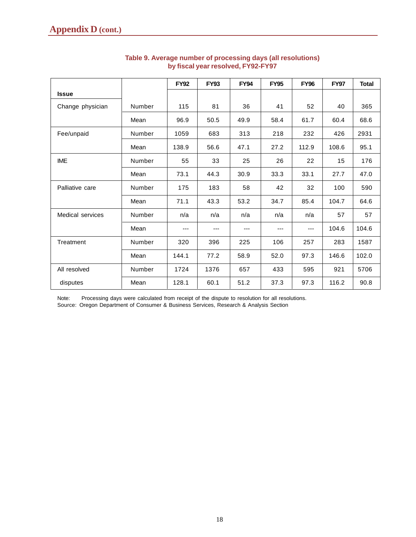|                         |        | <b>FY92</b> | <b>FY93</b> | <b>FY94</b> | <b>FY95</b> | <b>FY96</b> | <b>FY97</b> | <b>Total</b> |
|-------------------------|--------|-------------|-------------|-------------|-------------|-------------|-------------|--------------|
| <b>Issue</b>            |        |             |             |             |             |             |             |              |
| Change physician        | Number | 115         | 81          | 36          | 41          | 52          | 40          | 365          |
|                         | Mean   | 96.9        | 50.5        | 49.9        | 58.4        | 61.7        | 60.4        | 68.6         |
| Fee/unpaid              | Number | 1059        | 683         | 313         | 218         | 232         | 426         | 2931         |
|                         | Mean   | 138.9       | 56.6        | 47.1        | 27.2        | 112.9       | 108.6       | 95.1         |
| <b>IME</b>              | Number | 55          | 33          | 25          | 26          | 22          | 15          | 176          |
|                         | Mean   | 73.1        | 44.3        | 30.9        | 33.3        | 33.1        | 27.7        | 47.0         |
| Palliative care         | Number | 175         | 183         | 58          | 42          | 32          | 100         | 590          |
|                         | Mean   | 71.1        | 43.3        | 53.2        | 34.7        | 85.4        | 104.7       | 64.6         |
| <b>Medical services</b> | Number | n/a         | n/a         | n/a         | n/a         | n/a         | 57          | 57           |
|                         | Mean   |             | ---         | ---         | ---         |             | 104.6       | 104.6        |
| Treatment               | Number | 320         | 396         | 225         | 106         | 257         | 283         | 1587         |
|                         | Mean   | 144.1       | 77.2        | 58.9        | 52.0        | 97.3        | 146.6       | 102.0        |
| All resolved            | Number | 1724        | 1376        | 657         | 433         | 595         | 921         | 5706         |
| disputes                | Mean   | 128.1       | 60.1        | 51.2        | 37.3        | 97.3        | 116.2       | 90.8         |

### **Table 9. Average number of processing days (all resolutions) by fiscal year resolved, FY92-FY97**

Note: Processing days were calculated from receipt of the dispute to resolution for all resolutions. Source: Oregon Department of Consumer & Business Services, Research & Analysis Section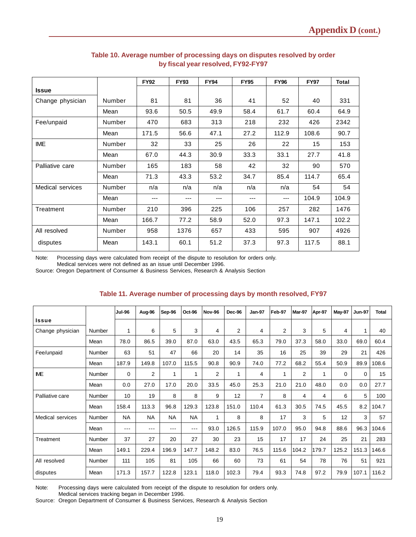|                  |        | <b>FY92</b> | <b>FY93</b> | <b>FY94</b> | <b>FY95</b> | <b>FY96</b> | <b>FY97</b> | Total |
|------------------|--------|-------------|-------------|-------------|-------------|-------------|-------------|-------|
| <b>Issue</b>     |        |             |             |             |             |             |             |       |
| Change physician | Number | 81          | 81          | 36          | 41          | 52          | 40          | 331   |
|                  | Mean   | 93.6        | 50.5        | 49.9        | 58.4        | 61.7        | 60.4        | 64.9  |
| Fee/unpaid       | Number | 470         | 683         | 313         | 218         | 232         | 426         | 2342  |
|                  | Mean   | 171.5       | 56.6        | 47.1        | 27.2        | 112.9       | 108.6       | 90.7  |
| <b>IME</b>       | Number | 32          | 33          | 25          | 26          | 22          | 15          | 153   |
|                  | Mean   | 67.0        | 44.3        | 30.9        | 33.3        | 33.1        | 27.7        | 41.8  |
| Palliative care  | Number | 165         | 183         | 58          | 42          | 32          | 90          | 570   |
|                  | Mean   | 71.3        | 43.3        | 53.2        | 34.7        | 85.4        | 114.7       | 65.4  |
| Medical services | Number | n/a         | n/a         | n/a         | n/a         | n/a         | 54          | 54    |
|                  | Mean   | ---         | ---         | ---         | ---         | ---         | 104.9       | 104.9 |
| Treatment        | Number | 210         | 396         | 225         | 106         | 257         | 282         | 1476  |
|                  | Mean   | 166.7       | 77.2        | 58.9        | 52.0        | 97.3        | 147.1       | 102.2 |
| All resolved     | Number | 958         | 1376        | 657         | 433         | 595         | 907         | 4926  |
| disputes         | Mean   | 143.1       | 60.1        | 51.2        | 37.3        | 97.3        | 117.5       | 88.1  |

### **Table 10. Average number of processing days on disputes resolved by order by fiscal year resolved, FY92-FY97**

Note: Processing days were calculated from receipt of the dispute to resolution for orders only. Medical services were not defined as an issue until December 1996.

Source: Oregon Department of Consumer & Business Services, Research & Analysis Section

### **Table 11. Average number of processing days by month resolved, FY97**

|                  |               | <b>Jul-96</b> | Aug-96         | Sep-96    | Oct-96    | Nov-96         | Dec-96 | <b>Jan-97</b>  | Feb-97       | Mar-97         | Apr-97 | <b>May-97</b> | <b>Jun-97</b> | <b>Total</b> |
|------------------|---------------|---------------|----------------|-----------|-----------|----------------|--------|----------------|--------------|----------------|--------|---------------|---------------|--------------|
| <b>Issue</b>     |               |               |                |           |           |                |        |                |              |                |        |               |               |              |
| Change physician | Number        | 1             | 6              | 5         | 3         | 4              | 2      | 4              | 2            | 3              | 5      | 4             | 1             | 40           |
|                  | Mean          | 78.0          | 86.5           | 39.0      | 87.0      | 63.0           | 43.5   | 65.3           | 79.0         | 37.3           | 58.0   | 33.0          | 69.0          | 60.4         |
| Fee/unpaid       | Number        | 63            | 51             | 47        | 66        | 20             | 14     | 35             | 16           | 25             | 39     | 29            | 21            | 426          |
|                  | Mean          | 187.9         | 149.8          | 107.0     | 115.5     | 90.8           | 90.9   | 74.0           | 77.2         | 68.2           | 55.4   | 50.9          | 89.9          | 108.6        |
| <b>IME</b>       | Number        | $\mathbf{0}$  | $\overline{2}$ | 1         | 1         | $\overline{2}$ | 1      | $\overline{4}$ | $\mathbf{1}$ | $\overline{2}$ | 1      | $\Omega$      | 0             | 15           |
|                  | Mean          | 0.0           | 27.0           | 17.0      | 20.0      | 33.5           | 45.0   | 25.3           | 21.0         | 21.0           | 48.0   | 0.0           | 0.0           | 27.7         |
| Palliative care  | Number        | 10            | 19             | 8         | 8         | 9              | 12     | 7              | 8            | 4              | 4      | 6             | 5             | 100          |
|                  | Mean          | 158.4         | 113.3          | 96.8      | 129.3     | 123.8          | 151.0  | 110.4          | 61.3         | 30.5           | 74.5   | 45.5          | 8.2           | 104.7        |
| Medical services | <b>Number</b> | <b>NA</b>     | <b>NA</b>      | <b>NA</b> | <b>NA</b> | 1              | 8      | 8              | 17           | 3              | 5      | 12            | 3             | 57           |
|                  | Mean          | $--$          | ---            | ---       | $--$      | 93.0           | 126.5  | 115.9          | 107.0        | 95.0           | 94.8   | 88.6          | 96.3          | 104.6        |
| Treatment        | Number        | 37            | 27             | 20        | 27        | 30             | 23     | 15             | 17           | 17             | 24     | 25            | 21            | 283          |
|                  | Mean          | 149.1         | 229.4          | 196.9     | 147.7     | 148.2          | 83.0   | 76.5           | 115.6        | 104.2          | 179.7  | 125.2         | 151.3         | 146.6        |
| All resolved     | Number        | 111           | 105            | 81        | 105       | 66             | 60     | 73             | 61           | 54             | 78     | 76            | 51            | 921          |
| disputes         | Mean          | 171.3         | 157.7          | 122.8     | 123.1     | 118.0          | 102.3  | 79.4           | 93.3         | 74.8           | 97.2   | 79.9          | 107.1         | 116.2        |

Note: Processing days were calculated from receipt of the dispute to resolution for orders only.

Medical services tracking began in December 1996.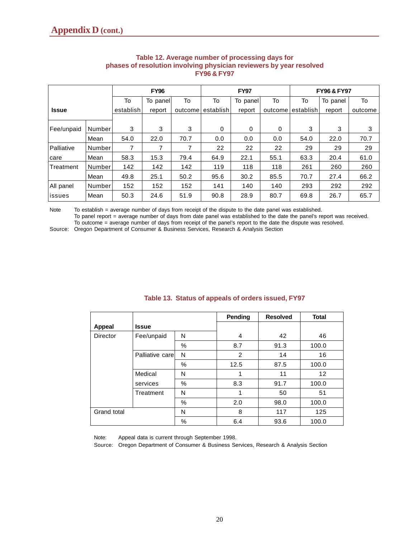|              |        |           | <b>FY96</b> |         |           | <b>FY97</b> |         | <b>FY96 &amp; FY97</b> |          |         |  |
|--------------|--------|-----------|-------------|---------|-----------|-------------|---------|------------------------|----------|---------|--|
|              |        | To        | To panel    | To      | To        | To panel    | To      | To                     | To panel | To      |  |
| <b>Issue</b> |        | establish | report      | outcome | establish | report      | outcome | establish              | report   | outcome |  |
|              |        |           |             |         |           |             |         |                        |          |         |  |
| Fee/unpaid   | Number | 3         | 3           | 3       | 0         | $\Omega$    | 0       | 3                      | 3        | 3       |  |
|              | Mean   | 54.0      | 22.0        | 70.7    | 0.0       | 0.0         | 0.0     | 54.0                   | 22.0     | 70.7    |  |
| Palliative   | Number | 7         | 7           | 7       | 22        | 22          | 22      | 29                     | 29       | 29      |  |
| care         | Mean   | 58.3      | 15.3        | 79.4    | 64.9      | 22.1        | 55.1    | 63.3                   | 20.4     | 61.0    |  |
| Treatment    | Number | 142       | 142         | 142     | 119       | 118         | 118     | 261                    | 260      | 260     |  |
|              | Mean   | 49.8      | 25.1        | 50.2    | 95.6      | 30.2        | 85.5    | 70.7                   | 27.4     | 66.2    |  |
| All panel    | Number | 152       | 152         | 152     | 141       | 140         | 140     | 293                    | 292      | 292     |  |
| issues       | Mean   | 50.3      | 24.6        | 51.9    | 90.8      | 28.9        | 80.7    | 69.8                   | 26.7     | 65.7    |  |

### **Table 12. Average number of processing days for phases of resolution involving physician reviewers by year resolved FY96 & FY97**

Note To establish = average number of days from receipt of the dispute to the date panel was established. To panel report = average number of days from date panel was established to the date the panel's report was received.

To outcome = average number of days from receipt of the panel's report to the date the dispute was resolved.

Source: Oregon Department of Consumer & Business Services, Research & Analysis Section

|             |                  |      | Pending        | <b>Resolved</b> | <b>Total</b>      |
|-------------|------------------|------|----------------|-----------------|-------------------|
| Appeal      | <b>Issue</b>     |      |                |                 |                   |
| Director    | Fee/unpaid       | N    | 4              | 42              | 46                |
|             |                  | $\%$ | 8.7            | 91.3            | 100.0             |
|             | Palliative carel | N    | $\overline{2}$ | 14              | 16                |
|             |                  | %    | 12.5           | 87.5            | 100.0             |
|             | Medical          | N    | 1              | 11              | $12 \overline{ }$ |
|             | services         | %    | 8.3            | 91.7            | 100.0             |
|             | Treatment        | N    | 1              | 50              | 51                |
|             |                  | %    | 2.0            | 98.0            | 100.0             |
| Grand total |                  | N    | 8              | 117             | 125               |
|             |                  | %    | 6.4            | 93.6            | 100.0             |

### **Table 13. Status of appeals of orders issued, FY97**

Note: Appeal data is current through September 1998.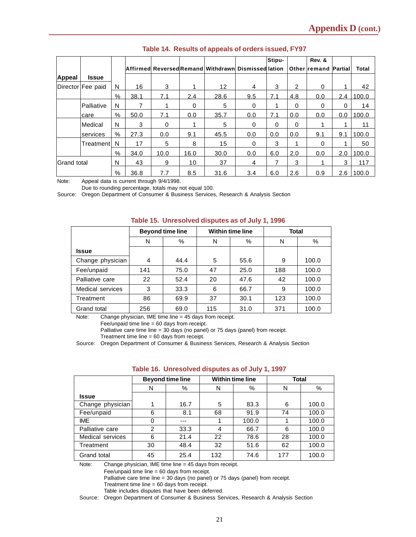|                    |                   |               |      |      |      |                                                    |          | Stipu-   |     | Rev. &                      |          |       |
|--------------------|-------------------|---------------|------|------|------|----------------------------------------------------|----------|----------|-----|-----------------------------|----------|-------|
|                    |                   |               |      |      |      | Affirmed ReversedRemand Withdrawn Dismissed lation |          |          |     | <b>Other remand Partial</b> |          | Total |
| <b>Appeal</b>      | Issue             |               |      |      |      |                                                    |          |          |     |                             |          |       |
|                    | Director Fee paid | N             | 16   | 3    | 1    | $12 \overline{ }$                                  | 4        | 3        | 2   | $\Omega$                    |          | 42    |
|                    |                   | %             | 38.1 | 7.1  | 2.4  | 28.6                                               | 9.5      | 7.1      | 4.8 | 0.0                         | 2.4      | 100.0 |
|                    | Palliative        | N             | 7    |      | 0    | 5                                                  | 0        |          | 0   | $\Omega$                    | $\Omega$ | 14    |
|                    | care              | $\frac{0}{0}$ | 50.0 | 7.1  | 0.0  | 35.7                                               | 0.0      | 7.1      | 0.0 | 0.0                         | 0.0      | 100.0 |
|                    | <b>Medical</b>    | N             | 3    | 0    | 1    | 5                                                  | 0        | $\Omega$ | 0   | 1                           |          | 11    |
|                    | services          | $\%$          | 27.3 | 0.0  | 9.1  | 45.5                                               | 0.0      | 0.0      | 0.0 | 9.1                         | 9.1      | 100.0 |
|                    | Treatmentl        | N             | 17   | 5    | 8    | 15                                                 | $\Omega$ | 3        | 1   | $\Omega$                    |          | 50    |
|                    |                   | $\%$          | 34.0 | 10.0 | 16.0 | 30.0                                               | 0.0      | 6.0      | 2.0 | 0.0                         | 2.0      | 100.0 |
| <b>Grand</b> total |                   | N             | 43   | 9    | 10   | 37                                                 | 4        |          | 3   |                             | 3        | 117   |
|                    |                   | %             | 36.8 | 7.7  | 8.5  | 31.6                                               | 3.4      | 6.0      | 2.6 | 0.9                         | 2.6      | 100.0 |

### **Table 14. Results of appeals of orders issued, FY97**

Note: Appeal data is current through 9/4/1998.

Due to rounding percentage, totals may not equal 100.

Source: Oregon Department of Consumer & Business Services, Research & Analysis Section

|                  | <b>Beyond time line</b> |      |     | <b>Within time line</b> | <b>Total</b> |       |  |  |  |
|------------------|-------------------------|------|-----|-------------------------|--------------|-------|--|--|--|
|                  | N                       | $\%$ | N   | %                       | N            | %     |  |  |  |
| Issue            |                         |      |     |                         |              |       |  |  |  |
| Change physician | 4                       | 44.4 | 5   | 55.6                    | 9            | 100.0 |  |  |  |
| Fee/unpaid       | 141                     | 75.0 | 47  | 25.0                    | 188          | 100.0 |  |  |  |
| Palliative care  | 22                      | 52.4 | 20  | 47.6                    | 42           | 100.0 |  |  |  |
| Medical services | 3                       | 33.3 | 6   | 66.7                    | 9            | 100.0 |  |  |  |
| Treatment        | 86                      | 69.9 | 37  | 30.1                    | 123          | 100.0 |  |  |  |
| Grand total      | 256                     | 69.0 | 115 | 31.0                    | 371          | 100.0 |  |  |  |

### **Table 15. Unresolved disputes as of July 1, 1996**

Note: Change physician, IME time line = 45 days from receipt.

Fee/unpaid time line = 60 days from receipt.

Palliative care time line = 30 days (no panel) or 75 days (panel) from receipt.

Treatment time line = 60 days from receipt.

Source: Oregon Department of Consumer & Business Services, Research & Analysis Section

|                  | <b>Beyond time line</b> |      |     | <b>Within time line</b> | <b>Total</b> |       |  |
|------------------|-------------------------|------|-----|-------------------------|--------------|-------|--|
|                  | N                       | %    | N   | %                       | N            | %     |  |
| Issue            |                         |      |     |                         |              |       |  |
| Change physician | 1                       | 16.7 | 5   | 83.3                    | 6            | 100.0 |  |
| Fee/unpaid       | 6                       | 8.1  | 68  | 91.9                    | 74           | 100.0 |  |
| IME              | 0                       | ---  |     | 100.0                   |              | 100.0 |  |
| Palliative care  | $\overline{2}$          | 33.3 | 4   | 66.7                    | 6            | 100.0 |  |
| Medical services | 6                       | 21.4 | 22  | 78.6                    | 28           | 100.0 |  |
| Treatment        | 30                      | 48.4 | 32  | 51.6                    | 62           | 100.0 |  |
| Grand total      | 45                      | 25.4 | 132 | 74.6                    | 177          | 100.0 |  |

#### **Table 16. Unresolved disputes as of July 1, 1997**

Note: Change physician, IME time line = 45 days from receipt.

Fee/unpaid time line = 60 days from receipt.

Palliative care time line = 30 days (no panel) or 75 days (panel) from receipt.

Treatment time line = 60 days from receipt.

Table includes disputes that have been deferred.